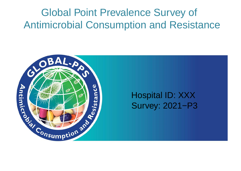# Global Point Prevalence Survey of Antimicrobial Consumption and Resistance



# Hospital ID: XXX Survey: 2021−P3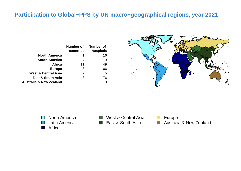# **Participation to Global−PPS by UN macro−geographical regions, year 2021**

|                                    | Number of<br>countries | Number of<br>hospitals |
|------------------------------------|------------------------|------------------------|
| <b>North America</b>               |                        | 16                     |
| <b>South America</b>               | 4                      | 9                      |
| <b>Africa</b>                      | 11                     | 49                     |
| <b>Europe</b>                      | 8                      | 66                     |
| <b>West &amp; Central Asia</b>     | 2                      | 5                      |
| <b>East &amp; South Asia</b>       | 8                      | 76                     |
| <b>Australia &amp; New Zealand</b> |                        |                        |



North America  $\mathcal{L}(\mathcal{A})$ Latin America  $\mathcal{L}(\mathcal{A})$ Africa  $\mathbb{R}^3$ 



Europe  $\mathcal{L}^{\text{max}}$ Australia & New Zealand $\mathcal{L}^{\text{max}}$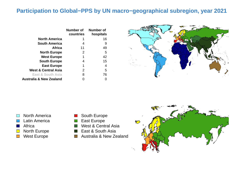# **Participation to Global−PPS by UN macro−geographical subregion, year 2021**

|                                    | Number of<br>countries | Number of<br>hospitals |
|------------------------------------|------------------------|------------------------|
| <b>North America</b>               | 1                      | 16                     |
| <b>South America</b>               | 4                      | 9                      |
| <b>Africa</b>                      | 11                     | 49                     |
| <b>North Europe</b>                | $\overline{2}$         | 5                      |
| <b>West Europe</b>                 | 1                      | 42                     |
| <b>South Europe</b>                | 4                      | 15                     |
| <b>East Europe</b>                 | 1                      | 4                      |
| <b>West &amp; Central Asia</b>     | 2                      | 5                      |
| <b>East &amp; South Asia</b>       | 8                      | 76                     |
| <b>Australia &amp; New Zealand</b> |                        |                        |



- North America  $\mathcal{L}^{\text{max}}$
- Latin America
- **Africa**
- North Europe  $\Box$
- West Europe  $\mathcal{L}_{\mathcal{A}}$
- South Europe
- East Europe
- West & Central Asia
- East & South Asia  $\mathbb{R}^n$
- Australia & New Zealand $\mathcal{O}(\mathbb{R}^d)$

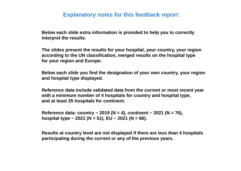#### **Explanatory notes for this feedback report**

 **Below each slide extra information is provided to help you to correctly interpret the results.**

 **The slides present the results for your hospital, your country, your region according to the UN classification, merged results on the hospital type for your region and Europe.**

 **Below each slide you find the designation of your own country, your region and hospital type displayed.**

 **Reference data include validated data from the current or most recent year with a minimum number of 4 hospitals for country and hospital type, and at least 25 hospitals for continent.**

 **Reference data: country − 2019 (N = 4), continent − 2021 (N = 76), hospital type − 2021 (N = 51), EU − 2021 (N = 66).**

 **Results at country level are not displayed if there are less than 4 hospitals participating during the current or any of the previous years.**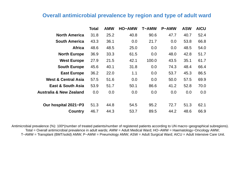#### **Overall antimicrobial prevalence by region and type of adult ward**

|                                    | Total | <b>AMW</b> | <b>HO-AMW</b> | <b>T-AMW</b> | <b>P-AMW</b> | <b>ASW</b> | <b>AICU</b> |
|------------------------------------|-------|------------|---------------|--------------|--------------|------------|-------------|
| <b>North America</b>               | 31.8  | 25.2       | 40.8          | 90.6         | 47.7         | 40.7       | 52.4        |
| <b>South America</b>               | 43.3  | 36.1       | 0.0           | 21.7         | 0.0          | 53.8       | 66.8        |
| <b>Africa</b>                      | 48.6  | 48.5       | 25.0          | 0.0          | 0.0          | 48.5       | 54.0        |
| <b>North Europe</b>                | 36.9  | 33.3       | 61.5          | 0.0          | 48.0         | 42.8       | 51.7        |
| <b>West Europe</b>                 | 27.9  | 21.5       | 42.1          | 100.0        | 43.5         | 35.1       | 61.7        |
| <b>South Europe</b>                | 45.6  | 40.1       | 31.8          | 0.0          | 74.3         | 48.4       | 66.4        |
| <b>East Europe</b>                 | 36.2  | 22.0       | 1.1           | 0.0          | 53.7         | 45.3       | 86.5        |
| <b>West &amp; Central Asia</b>     | 57.5  | 51.6       | 0.0           | 0.0          | 50.0         | 57.5       | 69.9        |
| <b>East &amp; South Asia</b>       | 53.9  | 51.7       | 50.1          | 86.6         | 41.2         | 52.8       | 70.0        |
| <b>Australia &amp; New Zealand</b> | 0.0   | 0.0        | 0.0           | 0.0          | 0.0          | 0.0        | 0.0         |
| Our hospital 2021-P3               | 51.3  | 44.8       | 54.5          | 95.2         | 72.7         | 51.3       | 62.1        |
| <b>Country</b>                     | 46.7  | 44.3       | 53.7          | 89.5         | 44.2         | 48.6       | 66.9        |

Antimicrobial prevalence (%): 100\*(number of treated patients/number of registered patients according to UN macro−geographical subregions). Total = Overall antimicrobial prevalence in adult wards; AMW = Adult Medical Ward; HO−AMW = Haematology−Oncology AMW; T−AMW = Transplant (BMT/solid) AMW; P−AMW = Pneumology AMW; ASW = Adult Surgical Ward; AICU = Adult Intensive Care Unit.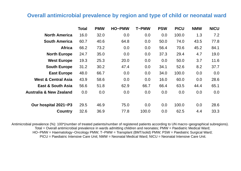#### **Overall antimicrobial prevalence by region and type of child or neonatal ward**

|                                    | <b>Total</b> | <b>PMW</b> | <b>HO-PMW</b> | <b>T-PMW</b> | <b>PSW</b> | <b>PICU</b> | <b>NMW</b> | <b>NICU</b> |
|------------------------------------|--------------|------------|---------------|--------------|------------|-------------|------------|-------------|
| <b>North America</b>               | 16.0         | 32.0       | 0.0           | 0.0          | 0.0        | 100.0       | 1.3        | 7.2         |
| <b>South America</b>               | 60.7         | 40.6       | 64.8          | 0.0          | 50.0       | 74.0        | 43.5       | 77.8        |
| <b>Africa</b>                      | 66.2         | 73.2       | 0.0           | 0.0          | 56.4       | 70.6        | 45.2       | 84.1        |
| <b>North Europe</b>                | 24.7         | 35.0       | 0.0           | 0.0          | 37.3       | 29.4        | 4.7        | 19.0        |
| <b>West Europe</b>                 | 19.3         | 25.3       | 20.0          | 0.0          | 0.0        | 50.0        | 3.7        | 11.6        |
| <b>South Europe</b>                | 31.2         | 30.2       | 47.4          | 0.0          | 34.1       | 52.6        | 8.2        | 37.7        |
| <b>East Europe</b>                 | 48.0         | 66.7       | 0.0           | 0.0          | 34.0       | 100.0       | 0.0        | 0.0         |
| <b>West &amp; Central Asia</b>     | 43.9         | 58.6       | 0.0           | 0.0          | 16.0       | 60.0        | 0.0        | 28.6        |
| <b>East &amp; South Asia</b>       | 56.6         | 51.8       | 62.9          | 66.7         | 66.4       | 63.5        | 44.4       | 65.1        |
| <b>Australia &amp; New Zealand</b> | 0.0          | 0.0        | 0.0           | 0.0          | 0.0        | 0.0         | 0.0        | 0.0         |
| Our hospital 2021-P3               | 29.5         | 46.9       | 75.0          | 0.0          | 0.0        | 100.0       | 0.0        | 28.6        |
| <b>Country</b>                     | 32.6         | 36.9       | 77.8          | 100.0        | 0.0        | 62.5        | 4.4        | 33.3        |

Antimicrobial prevalence (%): 100\*(number of treated patients/number of registered patients according to UN macro−geographical subregions). Total = Overall antimicrobial prevalence in wards admitting children and neonates; PMW = Paediatric Medical Ward; HO−PMW = Haematology−Oncology PMW; T−PMW = Transplant (BMT/solid) PMW; PSW = Paediatric Surgical Ward; PICU = Paediatric Intensive Care Unit; NMW = Neonatal Medical Ward; NICU = Neonatal Intensive Care Unit.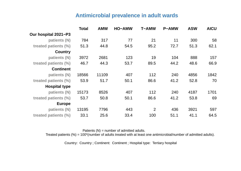#### **Antimicrobial prevalence in adult wards**

|                      | <b>Total</b> | <b>AMW</b> | <b>HO-AMW</b> | <b>T-AMW</b> | <b>P-AMW</b> | <b>ASW</b> | <b>AICU</b> |
|----------------------|--------------|------------|---------------|--------------|--------------|------------|-------------|
| Our hospital 2021-P3 |              |            |               |              |              |            |             |
| patients (N)         | 784          | 317        | 77            | 21           | 11           | 300        | 58          |
| treated patients (%) | 51.3         | 44.8       | 54.5          | 95.2         | 72.7         | 51.3       | 62.1        |
| <b>Country</b>       |              |            |               |              |              |            |             |
| patients (N)         | 3972         | 2681       | 123           | 19           | 104          | 888        | 157         |
| treated patients (%) | 46.7         | 44.3       | 53.7          | 89.5         | 44.2         | 48.6       | 66.9        |
| <b>Continent</b>     |              |            |               |              |              |            |             |
| patients (N)         | 18566        | 11109      | 407           | 112          | 240          | 4856       | 1842        |
| treated patients (%) | 53.9         | 51.7       | 50.1          | 86.6         | 41.2         | 52.8       | 70          |
| <b>Hospital type</b> |              |            |               |              |              |            |             |
| patients (N)         | 15173        | 8526       | 407           | 112          | 240          | 4187       | 1701        |
| treated patients (%) | 53.7         | 50.8       | 50.1          | 86.6         | 41.2         | 53.8       | 69          |
| <b>Europe</b>        |              |            |               |              |              |            |             |
| patients (N)         | 13195        | 7796       | 443           | 2            | 436          | 3921       | 597         |
| treated patients (%) | 33.1         | 25.6       | 33.4          | 100          | 51.1         | 41.1       | 64.5        |

Patients  $(N)$  = number of admitted adults. Treated patients (%) = 100\*(number of adults treated with at least one antimicrobial/number of admitted adults).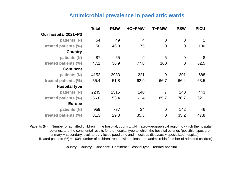#### **Antimicrobial prevalence in paediatric wards**

|                      | Total | <b>PMW</b> | <b>HO-PMW</b>  | <b>T-PMW</b>   | <b>PSW</b>     | <b>PICU</b> |
|----------------------|-------|------------|----------------|----------------|----------------|-------------|
| Our hospital 2021-P3 |       |            |                |                |                |             |
| patients (N)         | 54    | 49         | $\overline{4}$ | $\overline{0}$ | $\overline{0}$ |             |
| treated patients (%) | 50    | 46.9       | 75             | $\overline{0}$ | $\overline{0}$ | 100         |
| <b>Country</b>       |       |            |                |                |                |             |
| patients (N)         | 87    | 65         | 9              | 5              | $\overline{0}$ | 8           |
| treated patients (%) | 47.1  | 36.9       | 77.8           | 100            | $\overline{0}$ | 62.5        |
| <b>Continent</b>     |       |            |                |                |                |             |
| patients (N)         | 4152  | 2933       | 221            | 9              | 301            | 688         |
| treated patients (%) | 55.4  | 51.8       | 62.9           | 66.7           | 66.4           | 63.5        |
| <b>Hospital type</b> |       |            |                |                |                |             |
| patients (N)         | 2245  | 1515       | 140            | 7              | 140            | 443         |
| treated patients (%) | 56.8  | 53.4       | 61.4           | 85.7           | 70.7           | 62.1        |
| <b>Europe</b>        |       |            |                |                |                |             |
| patients (N)         | 959   | 737        | 34             | $\overline{0}$ | 142            | 46          |
| treated patients (%) | 31.3  | 29.3       | 35.3           | $\overline{0}$ | 35.2           | 47.8        |

Patients (N) = Number of admitted children in the hospital, country, UN macro–geographical region to which the hospital belongs; and the continental results for the hospital type to which the hospital belongs (possible types are primary + secondary level, tertiary level, paediatric and infectious diseases + specialized hospital). Treated patients (%) = 100\*(number of children treated with at least one antimicrobial/number of admitted children).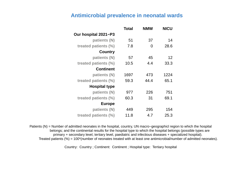#### **Antimicrobial prevalence in neonatal wards**

|                      | Total | <b>NMW</b> | <b>NICU</b> |
|----------------------|-------|------------|-------------|
| Our hospital 2021-P3 |       |            |             |
| patients (N)         | 51    | 37         | 14          |
| treated patients (%) | 7.8   | 0          | 28.6        |
| <b>Country</b>       |       |            |             |
| patients (N)         | 57    | 45         | 12          |
| treated patients (%) | 10.5  | 4.4        | 33.3        |
| <b>Continent</b>     |       |            |             |
| patients (N)         | 1697  | 473        | 1224        |
| treated patients (%) | 59.3  | 44.4       | 65.1        |
| <b>Hospital type</b> |       |            |             |
| patients (N)         | 977   | 226        | 751         |
| treated patients (%) | 60.3  | 31         | 69.1        |
| <b>Europe</b>        |       |            |             |
| patients (N)         | 449   | 295        | 154         |
| treated patients (%) | 11.8  | 4.7        | 25.3        |

Patients (N) = Number of admitted neonates in the hospital, country, UN macro−geographicl region to which the hospital belongs; and the continental results for the hospital type to which the hospital belongs (possible types are primary + secondary level, tertiary level, paediatric and infectious diseases + specialized hospital). Treated patients (%) = 100\*(number of neonates treated with at least one antimicrobial/number of admitted neonates).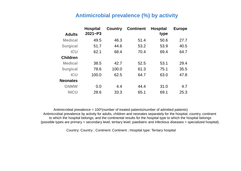#### **Antimicrobial prevalence (%) by activity**

|                 | <b>Hospital</b> | <b>Country</b> | <b>Continent</b> | <b>Hospital</b> | <b>Europe</b> |
|-----------------|-----------------|----------------|------------------|-----------------|---------------|
| <b>Adults</b>   | $2021 - P3$     |                |                  | type            |               |
| <b>Medical</b>  | 49.5            | 46.3           | 51.4             | 50.6            | 27.7          |
| <b>Surgical</b> | 51.7            | 44.6           | 53.2             | 53.9            | 40.5          |
| <b>ICU</b>      | 62.1            | 68.4           | 70.4             | 69.4            | 64.7          |
| <b>Children</b> |                 |                |                  |                 |               |
| <b>Medical</b>  | 38.5            | 42.7           | 52.5             | 53.1            | 29.4          |
| <b>Surgical</b> | 78.6            | 100.0          | 61.3             | 75.1            | 35.5          |
| <b>ICU</b>      | 100.0           | 62.5           | 64.7             | 63.0            | 47.8          |
| <b>Neonates</b> |                 |                |                  |                 |               |
| <b>GNMW</b>     | 0.0             | 4.4            | 44.4             | 31.0            | 4.7           |
| <b>NICU</b>     | 28.6            | 33.3           | 65.1             | 69.1            | 25.3          |

Antimicrobial prevalence = 100\*(number of treated patients/number of admitted patients) Antimicrobial prevalence by activity for adults, children and neonates separately for the hospital, country, continent to which the hospital belongs; and the continental results for the hospital type to which the hospital belongs (possible types are primary + secondary level, tertiary level, paediatric and infectious diseases + specialized hospital).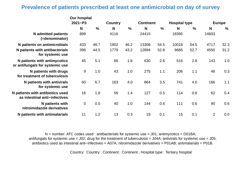#### **Prevalence of patients prescribed at least one antimicrobial on day of survey**

|                                                                   | <b>Our hospital</b> |               |                |               |                  |               |                      |               |                |               |
|-------------------------------------------------------------------|---------------------|---------------|----------------|---------------|------------------|---------------|----------------------|---------------|----------------|---------------|
|                                                                   | $2021 - P3$         |               | <b>Country</b> |               | <b>Continent</b> |               | <b>Hospital type</b> |               |                | <b>Europe</b> |
|                                                                   | N                   | $\frac{9}{6}$ | N              | $\frac{0}{0}$ | N                | $\frac{0}{0}$ | N                    | $\frac{0}{0}$ | N              | $\frac{0}{0}$ |
| <b>N</b> admitted patients<br>(=denominator)                      | 889                 |               | 4116           |               | 24415            |               | 18395                |               | 14603          |               |
| N patients on antimicrobials                                      | 433                 | 48.7          | 1902           | 46.2          | 13308            | 54.5          | 10018                | 54.5          | 4717           | 32.3          |
| N patients with antibacterials<br>for systemic use                | 396                 | 44.5          | 1779           | 43.2          | 12894            | 52.8          | 9685                 | 52.7          | 4550           | 31.2          |
| N patients with antimycotics<br>or antifungals for systemic use   | 45                  | 5.1           | 66             | 1.6           | 630              | 2.6           | 516                  | 2.8           | 143            | 1.0           |
| N patients with drugs<br>for treatment of tuberculosis            | 9                   | 1.0           | 43             | 1.0           | 275              | 1.1           | 206                  | 1.1           | 46             | 0.3           |
| N patients with antivirals<br>for systemic use                    | 60                  | 6.7           | 163            | 4.0           | 864              | 3.5           | 741                  | 4.0           | 166            | 1.1           |
| N patients with antibiotics used<br>as intestinal anti-infectives | 16                  | 1.8           | 56             | 1.4           | 127              | 0.5           | 114                  | 0.6           | 62             | 0.4           |
| N patients with<br>nitroimidazole derivatives                     | $\overline{0}$      | 0.0           | 40             | 1.0           | 144              | 0.6           | 111                  | 0.6           | 90             | 0.6           |
| N patients with antimalarials                                     | 11                  | 1.2           | 13             | 0.3           | 19               | 0.1           | 15                   | 0.1           | $\overline{2}$ | 0.0           |

 $N =$  number. ATC codes used : antibacterials for systemic use = J01; antimycotics = D01BA; antifungals for systemic use = J02; drug for the treatment of tuberculosis = J04A; antivirals for systemic use = J05; antibiotics used as intestinal anti−infectives = A07A; nitroimidazole derivatives = P01AB; antimalarials = P01B.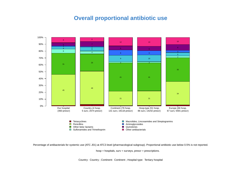# **Overall proportional antibiotic use**



Percentage of antibacterials for systemic use (ATC J01) at ATC3 level (pharmacological subgroup). Proportional antibiotic use below 0.5% is not reported.

hosp = hospitals, surv = surveys, prescr = prescriptions.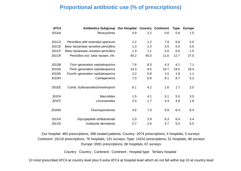#### **Proportional antibiotic use (% of prescriptions)**

| ATC4         | <b>Antibiotics Subgroup Our Hospital</b> |      | Country | <b>Continent</b> | Type | <b>Europe</b> |
|--------------|------------------------------------------|------|---------|------------------|------|---------------|
| J01AA        | <b>Tetracyclines</b>                     | 0.9  | 2.2     | 0.6              | 0.8  | 1.5           |
|              |                                          |      |         |                  |      |               |
| J01CA        | Penicillins with extended spectrum       | 2.2  | 1.2     | 7.9              | 6.8  | 5.0           |
| J01CE        | Beta-lactamase sensitive penicillins     | 1.3  | 1.4     | 0.5              | 0.5  | 0.5           |
| J01CF        | Beta-lactamase resistant penicillins     | 1.3  | 1.1     | 0.6              | 0.6  | 1.5           |
| <b>J01CR</b> | Penicillins incl. beta-lactam. inh.      | 40.2 | 45.0    | 11.6             | 12.7 | 27.0          |
|              |                                          |      |         |                  |      |               |
| J01DB        | First-generation cephalosporins          | 7.6  | 8.3     | 4.3              | 4.2  | 7.1           |
| J01DD        | Third-generation cephalosporins          | 14.3 | 8.5     | 19.7             | 19.5 | 18.4          |
| J01DE        | Fourth-generation cephalosporins         | 2.2  | 0.8     | 1.5              | 1.8  | 1.1           |
| J01DH        | Carbapenems                              | 7.0  | 6.8     | 8.1              | 8.7  | 5.2           |
|              |                                          |      |         |                  |      |               |
| J01EE        | Comb. Sulfonamides/trimethoprim          | 6.1  | 4.2     | 1.6              | 1.7  | 2.0           |
|              |                                          |      |         |                  |      |               |
| J01FA        | <b>Macrolides</b>                        | 1.5  | 4.1     | 5.1              | 5.0  | 3.5           |
| J01FF        | Lincosamides                             | 2.0  | 1.7     | 4.4              | 4.8  | 1.6           |
|              |                                          |      |         |                  |      |               |
| J01MA        | Fluoroquinolones                         | 4.6  | 7.3     | 5.9              | 6.4  | 8.4           |
|              |                                          |      |         |                  |      |               |
| J01XA        | Glycopeptide antibacterials              | 2.0  | 2.9     | 6.3              | 6.4  | 3.4           |
| J01XD        | Imidazole derivatives                    | 5.7  | 2.6     | 4.7              | 5.0  | 5.0           |

Our hospital: 460 prescriptions, 396 treated patients; Country: 2074 prescriptions, 4 hospitals, 5 surveys Continent: 19118 prescriptions, 76 hospitals, 131 surveys; Type: 14242 prescriptions, 51 hospitals, 86 surveys Europe: 5591 prescriptions, 66 hospitals, 67 surveys

Country: Country ; Continent: Continent ; Hospital type: Tertiary hospital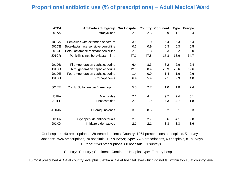#### **Proportional antibiotic use (% of prescriptions) − Adult Medical Ward**

| ATC4         | Antibiotics Subgroup Our Hospital Country Continent |      |      |      | <b>Type</b> | <b>Europe</b> |
|--------------|-----------------------------------------------------|------|------|------|-------------|---------------|
| J01AA        | <b>Tetracyclines</b>                                | 2.1  | 2.5  | 0.9  | 1.1         | 2.4           |
|              |                                                     |      |      |      |             |               |
| J01CA        | Penicillins with extended spectrum                  | 3.6  | 1.0  | 5.4  | 5.3         | 5.4           |
| J01CE        | Beta-lactamase sensitive penicillins                | 0.7  | 0.9  | 0.3  | 0.3         | 0.5           |
| J01CF        | Beta-lactamase resistant penicillins                | 2.1  | 1.3  | 0.3  | 0.2         | 2.0           |
| <b>J01CR</b> | Penicillins incl. beta-lactam. inh.                 | 47.1 | 47.8 | 17.8 | 18.6        | 34.7          |
|              |                                                     |      |      |      |             |               |
| J01DB        | First-generation cephalosporins                     | 6.4  | 8.3  | 3.2  | 2.6         | 2.4           |
| J01DD        | Third-generation cephalosporins                     | 12.1 | 8.4  | 20.3 | 20.6        | 12.6          |
| J01DE        | Fourth-generation cephalosporins                    | 1.4  | 0.9  | 1.4  | 1.6         | 0.6           |
| J01DH        | Carbapenems                                         | 6.4  | 5.4  | 7.1  | 7.9         | 4.8           |
|              |                                                     |      |      |      |             |               |
| J01EE        | Comb. Sulfonamides/trimethoprim                     | 5.0  | 2.7  | 1.0  | 1.0         | 2.4           |
|              |                                                     |      |      |      |             |               |
| J01FA        | <b>Macrolides</b>                                   | 2.1  | 4.4  | 9.7  | 9.4         | 5.1           |
| J01FF        | Lincosamides                                        | 2.1  | 1.9  | 4.3  | 4.7         | 1.8           |
|              |                                                     |      |      |      |             |               |
| J01MA        | Fluoroquinolones                                    | 3.6  | 8.5  | 8.2  | 8.1         | 10.3          |
|              |                                                     |      |      |      |             |               |
| J01XA        | Glycopeptide antibacterials                         | 2.1  | 2.7  | 3.6  | 4.1         | 2.8           |
| J01XD        | Imidazole derivatives                               | 2.1  | 2.1  | 3.3  | 3.3         | 3.6           |

Our hospital: 140 prescriptions, 128 treated patients; Country: 1264 prescriptions, 4 hospitals, 5 surveys Continent: 7524 prescriptions, 70 hospitals, 117 surveys; Type: 5625 prescriptions, 49 hospitals, 81 surveys Europe: 2248 prescriptions, 60 hospitals, 61 surveys

Country: Country ; Continent: Continent ; Hospital type: Tertiary hospital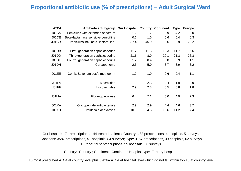#### **Proportional antibiotic use (% of prescriptions) − Adult Surgical Ward**

| ATC4  | <b>Antibiotics Subgroup Our Hospital</b> |      |      | <b>Country Continent</b> | <b>Type</b> | <b>Europe</b> |
|-------|------------------------------------------|------|------|--------------------------|-------------|---------------|
| J01CA | Penicillins with extended spectrum       | 1.2  | 1.7  | 3.9                      | 4.2         | 2.0           |
| J01CE | Beta-lactamase sensitive penicillins     | 0.6  | 1.5  | 0.6                      | 0.4         | 0.3           |
| J01CR | Penicillins incl. beta-lactam. inh.      | 37.4 | 45.9 | 9.6                      | 9.9         | 20.2          |
| J01DB | First-generation cephalosporins          | 11.7 | 11.6 | 12.3                     | 11.7        | 15.6          |
| J01DD | Third-generation cephalosporins          | 21.6 | 8.9  | 20.1                     | 21.3        | 26.3          |
| J01DE | Fourth-generation cephalosporins         | 1.2  | 0.4  | 0.8                      | 0.9         | 1.1           |
| J01DH | Carbapenems                              | 2.3  | 5.0  | 3.7                      | 3.9         | 3.2           |
| J01EE | Comb. Sulfonamides/trimethoprim          | 1.2  | 1.9  | 0.6                      | 0.4         | 1.1           |
| J01FA | <b>Macrolides</b>                        |      | 2.3  | 2.4                      | 1.9         | 0.9           |
| J01FF | Lincosamides                             | 2.9  | 2.3  | 6.5                      | 6.8         | 1.8           |
| J01MA | Fluoroquinolones                         | 6.4  | 7.1  | 5.0                      | 4.9         | 7.3           |
| J01XA | Glycopeptide antibacterials              | 2.9  | 2.9  | 4.4                      | 4.6         | 3.7           |
| J01XD | Imidazole derivatives                    | 10.5 | 4.6  | 10.6                     | 11.2        | 7.4           |

Our hospital: 171 prescriptions, 144 treated patients; Country: 482 prescriptions, 4 hospitals, 5 surveys Continent: 3587 prescriptions, 51 hospitals, 84 surveys; Type: 3167 prescriptions, 39 hospitals, 62 surveys Europe: 1972 prescriptions, 55 hospitals, 56 surveys

Country: Country ; Continent: Continent ; Hospital type: Tertiary hospital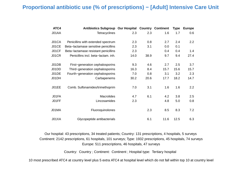#### **Proportional antibiotic use (% of prescriptions) − [Adult] Intensive Care Unit**

| ATC4  | <b>Antibiotics Subgroup Our Hospital</b> |      | Country | <b>Continent</b> | <b>Type</b> | <b>Europe</b> |
|-------|------------------------------------------|------|---------|------------------|-------------|---------------|
| J01AA | <b>Tetracyclines</b>                     | 2.3  | 2.3     | 1.6              | 1.7         | 0.6           |
|       |                                          |      |         |                  |             |               |
| J01CA | Penicillins with extended spectrum       | 2.3  | 0.8     | 2.7              | 2.4         | 2.2           |
| J01CE | Beta-lactamase sensitive penicillins     | 2.3  | 3.1     | 0.0              | 0.1         |               |
| J01CF | Beta-lactamase resistant penicillins     | 2.3  |         | 0.4              | 0.4         | 1.4           |
| J01CR | Penicillins incl. beta-lactam. inh.      | 14.0 | 38.9    | 9.7              | 9.4         | 27.4          |
|       |                                          |      |         |                  |             |               |
| J01DB | First-generation cephalosporins          | 9.3  | 4.6     | 2.7              | 2.5         | 3.7           |
| J01DD | Third-generation cephalosporins          | 16.3 | 8.4     | 15.7             | 15.6        | 15.7          |
| J01DE | Fourth-generation cephalosporins         | 7.0  | 0.8     | 3.1              | 3.2         | 2.3           |
| J01DH | Carbapenems                              | 30.2 | 20.6    | 17.7             | 18.2        | 14.7          |
|       |                                          |      |         |                  |             |               |
| J01EE | Comb. Sulfonamides/trimethoprim          | 7.0  | 3.1     | 1.6              | 1.6         | 2.2           |
|       |                                          |      |         |                  |             |               |
| J01FA | <b>Macrolides</b>                        | 4.7  | 6.1     | 4.2              | 3.8         | 2.5           |
| J01FF | Lincosamides                             | 2.3  |         | 4.8              | 5.0         | 0.8           |
|       |                                          |      |         |                  |             |               |
| J01MA | Fluoroquinolones                         |      | 2.3     | 8.5              | 8.3         | 7.2           |
|       |                                          |      |         |                  |             |               |
| J01XA | Glycopeptide antibacterials              |      | 6.1     | 11.6             | 12.5        | 6.3           |

Our hospital: 43 prescriptions, 34 treated patients; Country: 131 prescriptions, 4 hospitals, 5 surveys Continent: 2142 prescriptions, 61 hospitals, 101 surveys; Type: 1932 prescriptions, 45 hospitals, 74 surveys Europe: 511 prescriptions, 46 hospitals, 47 surveys

Country: Country ; Continent: Continent ; Hospital type: Tertiary hospital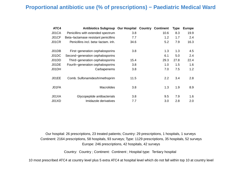#### **Proportional antibiotic use (% of prescriptions) − Paediatric Medical Ward**

| ATC4  | <b>Antibiotics Subgroup Our Hospital</b> |      | Country | <b>Continent</b> | <b>Type</b> | <b>Europe</b> |
|-------|------------------------------------------|------|---------|------------------|-------------|---------------|
| J01CA | Penicillins with extended spectrum       | 3.8  |         | 10.6             | 8.3         | 19.9          |
| J01CF | Beta-lactamase resistant penicillins     | 7.7  |         | 1.2              | 1.7         | 2.4           |
| J01CR | Penicillins incl. beta-lactam. inh.      | 34.6 |         | 5.2              | 7.9         | 16.3          |
| J01DB | First-generation cephalosporins          | 3.8  |         | 1.3              | 1.3         | 4.5           |
| J01DC | Second-generation cephalosporins         |      |         | 6.1              | 5.0         | 2.4           |
| J01DD | Third-generation cephalosporins          | 15.4 |         | 29.3             | 27.8        | 22.4          |
| J01DE | Fourth-generation cephalosporins         | 3.8  |         | 1.0              | 1.5         | 1.6           |
| J01DH | Carbapenems                              | 3.8  |         | 7.0              | 7.5         | 1.2           |
| J01EE | Comb. Sulfonamides/trimethoprim          | 11.5 |         | $2.2\phantom{0}$ | 3.4         | 2.8           |
| J01FA | <b>Macrolides</b>                        | 3.8  |         | 1.3              | 1.9         | 8.9           |
| J01XA | Glycopeptide antibacterials              | 3.8  |         | 9.5              | 7.9         | 1.6           |
| J01XD | Imidazole derivatives                    | 7.7  |         | 3.0              | 2.8         | 2.0           |

Our hospital: 26 prescriptions, 23 treated patients; Country: 29 prescriptions, 1 hospitals, 1 surveys Continent: 2164 prescriptions, 58 hospitals, 93 surveys; Type: 1129 prescriptions, 35 hospitals, 52 surveys Europe: 246 prescriptions, 42 hospitals, 42 surveys

Country: Country ; Continent: Continent ; Hospital type: Tertiary hospital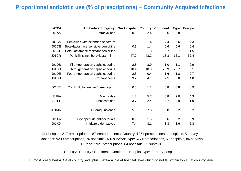#### **Proportional antibiotic use (% of prescriptions) – Community Acquired Infections**

| ATC4  | <b>Antibiotics Subgroup Our Hospital</b> |      |      | <b>Country Continent</b> | <b>Type</b> | <b>Europe</b> |
|-------|------------------------------------------|------|------|--------------------------|-------------|---------------|
| J01AA | <b>Tetracyclines</b>                     | 0.9  | 2.4  | 0.6                      | 0.8         | 2.1           |
|       |                                          |      |      |                          |             |               |
| J01CA | Penicillins with extended spectrum       | 1.8  | 1.4  | 7.4                      | 6.6         | 7.3           |
| J01CE | Beta-lactamase sensitive penicillins     | 0.9  | 1.4  | 0.6                      | 0.6         | 0.4           |
| J01CF | Beta-lactamase resistant penicillins     | 1.8  | 1.3  | 0.7                      | 0.7         | 1.5           |
| J01CR | Penicillins incl. beta-lactam. inh.      | 47.0 | 48.2 | 13.8                     | 16.1        | 32.4          |
|       |                                          |      |      |                          |             |               |
| J01DB | First-generation cephalosporins          | 2.8  | 8.0  | 1.0                      | 1.1         | 0.9           |
| J01DD | Third-generation cephalosporins          | 18.4 | 10.3 | 23.9                     | 22.7        | 16.1          |
| J01DE | Fourth-generation cephalosporins         | 2.8  | 0.4  | 1.6                      | 1.8         | 0.7           |
| J01DH | Carbapenems                              | 3.2  | 4.1  | 7.5                      | 8.0         | 4.8           |
|       |                                          |      |      |                          |             |               |
| J01EE | Comb. Sulfonamides/trimethoprim          | 0.5  | 1.2  | 0.8                      | 0.8         | 0.9           |
|       |                                          |      |      |                          |             |               |
| J01FA | <b>Macrolides</b>                        | 1.8  | 5.7  | 8.8                      | 9.0         | 4.3           |
| J01FF | Lincosamides                             | 3.7  | 2.4  | 4.7                      | 4.9         | 1.9           |
|       |                                          |      |      |                          |             |               |
| J01MA | Fluoroquinolones                         | 5.1  | 7.3  | 6.8                      | 7.2         | 9.2           |
|       |                                          |      |      |                          |             |               |
| J01XA | Glycopeptide antibacterials              | 0.9  | 1.6  | 5.6                      | 5.2         | 2.9           |
| J01XD | Imidazole derivatives                    | 7.4  | 3.1  | 3.3                      | 3.6         | 5.8           |

Our hospital: 217 prescriptions, 187 treated patients; Country: 1271 prescriptions, 4 hospitals, 5 surveys Continent: 9239 prescriptions, 76 hospitals, 130 surveys; Type: 6774 prescriptions, 51 hospitals, 86 surveys Europe: 2921 prescriptions, 64 hospitals, 65 surveys

Country: Country ; Continent: Continent ; Hospital type: Tertiary hospital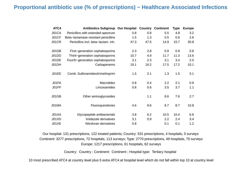#### **Proportional antibiotic use (% of prescriptions) − Healthcare Associated Infections**

| ATC4  | <b>Antibiotics Subgroup Our Hospital</b> |      | <b>Country</b> | <b>Continent</b> | <b>Type</b> | <b>Europe</b> |
|-------|------------------------------------------|------|----------------|------------------|-------------|---------------|
| J01CA | Penicillins with extended spectrum       | 0.8  | 0.9            | 5.5              | 4.8         | 3.2           |
| J01CF | Beta-lactamase resistant penicillins     | 1.5  | 1.3            | 0.5              | 0.6         | 2.6           |
| J01CR | Penicillins incl. beta-lactam. inh.      | 47.3 | 47.5           | 14.9             | 15.7        | 30.8          |
| J01DB | First-generation cephalosporins          | 2.3  | 2.8            | 0.9              | 0.9         | 0.8           |
| J01DD | Third-generation cephalosporins          | 10.7 | 4.9            | 11.7             | 11.3        | 13.6          |
| J01DE | Fourth-generation cephalosporins         | 3.1  | 2.3            | 3.1              | 3.4         | 2.0           |
| J01DH | Carbapenems                              | 19.1 | 16.2           | 17.5             | 17.2        | 10.1          |
| J01EE | Comb. Sulfonamides/trimethoprim          | 1.5  | 2.1            | 1.3              | 1.5         | 3.1           |
| J01FA | <b>Macrolides</b>                        | 0.8  | 0.4            | 2.2              | 2.1         | 0.9           |
| J01FF | Lincosamides                             | 0.8  | 0.6            | 3.5              | 3.7         | 1.1           |
| J01GB | Other aminoglycosides                    |      | 1.1            | 8.6              | 7.6         | 2.7           |
| J01MA | Fluoroquinolones                         | 4.6  | 9.6            | 8.7              | 8.7         | 10.8          |
| J01XA | Glycopeptide antibacterials              | 3.8  | 6.2            | 10.5             | 10.4        | 6.8           |
| J01XD | Imidazole derivatives                    | 3.1  | 0.9            | 2.2              | 2.4         | 3.4           |
| J01XE | Nitrofuran derivatives                   | 0.8  |                | 0.1              | 0.1         | 1.2           |

Our hospital: 131 prescriptions, 122 treated patients; Country: 531 prescriptions, 4 hospitals, 5 surveys Continent: 3277 prescriptions, 72 hospitals, 113 surveys; Type: 2770 prescriptions, 49 hospitals, 75 surveys Europe: 1217 prescriptions, 61 hospitals, 62 surveys

Country: Country ; Continent: Continent ; Hospital type: Tertiary hospital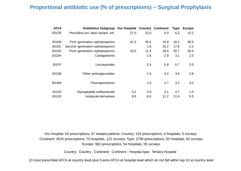#### **Proportional antibiotic use (% of prescriptions) − Surgical Prophylaxis**

| ATC4  | <b>Antibiotics Subgroup Our Hospital</b> |      |      | <b>Country Continent</b> | <b>Type</b> | <b>Europe</b> |
|-------|------------------------------------------|------|------|--------------------------|-------------|---------------|
| J01CR | Penicillins incl. beta-lactam. inh.      | 27.0 | 22.0 | 8.0                      | 6.2         | 10.2          |
| J01DB | First-generation cephalosporins          | 41.3 | 45.5 | 15.9                     | 16.2        | 36.5          |
| J01DC | Second-generation cephalosporins         |      | 1.6  | 20.2                     | 17.6        | 2.2           |
| J01DD | Third-generation cephalosporins          | 19.0 | 11.4 | 18.4                     | 20.7        | 30.6          |
| J01DH | Carbapenems                              |      | 1.6  | 2.9                      | 3.1         | 1.0           |
| J01FF | Lincosamides                             |      | 2.4  | 5.8                      | 6.7         | 2.0           |
| J01GB | Other aminoglycosides                    |      | 1.6  | 4.0                      | 3.6         | 2.9           |
| J01MA | Fluoroquinolones                         |      | 1.6  | 2.7                      | 3.2         | 3.0           |
| J01XA | Glycopeptide antibacterials              | 3.2  | 4.9  | 4.1                      | 4.7         | 1.0           |
| J01XD | Imidazole derivatives                    | 9.5  | 6.5  | 11.2                     | 11.6        | 5.5           |

Our hospital: 63 prescriptions, 57 treated patients; Country: 123 prescriptions, 4 hospitals, 5 surveys Continent: 3524 prescriptions, 73 hospitals, 121 surveys; Type: 2706 prescriptions, 50 hospitals, 82 surveys Europe: 962 prescriptions, 54 hospitals, 55 surveys

Country: Country ; Continent: Continent ; Hospital type: Tertiary hospital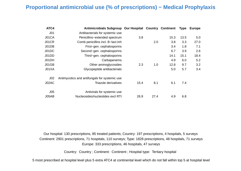#### **Proportional antimicrobial use (% of prescriptions) − Medical Prophylaxis**

| ATC4            | Antimicrobials Subgroup Our Hospital Country Continent |      |      |      | <b>Type</b> | <b>Europe</b> |
|-----------------|--------------------------------------------------------|------|------|------|-------------|---------------|
| J <sub>01</sub> | Antibacterials for systemic use                        |      |      |      |             |               |
| J01CA           | Penicillins-extended spectrum                          | 3.8  |      | 15.3 | 13.5        | 5.0           |
| J01CR           | Comb penicillins incl. B-lact.Inh                      |      | 2.0  | 3.8  | 3.3         | 27.0          |
| J01DB           | First-gen. cephalosporins                              |      |      | 3.4  | 1.8         | 7.1           |
| J01DC           | Second-gen. cephalosporins                             |      |      | 6.7  | 3.9         | 2.6           |
| J01DD           | Third-gen. cephalosporins                              |      |      | 14.1 | 15.1        | 18.4          |
| J01DH           | Carbapenems                                            |      |      | 4.9  | 6.0         | 5.2           |
| J01GB           | Other aminoglycosides                                  | 2.3  | 1.0  | 12.8 | 9.7         | 3.2           |
| J01XA           | Glycopeptide antibacterials                            |      |      | 5.0  | 5.7         | 3.4           |
| J <sub>02</sub> | Antimycotics and antifungals for systemic use          |      |      |      |             |               |
| J02AC           | Triazole derivatives                                   | 15.4 | 8.1  | 6.1  | 7.4         |               |
| J <sub>05</sub> | Antivirals for systemic use                            |      |      |      |             |               |
| J05AB           | Nucleosides/nucleotides excl RTI                       | 26.9 | 27.4 | 4.9  | 6.8         |               |

Our hospital: 130 prescriptions, 85 treated patients; Country: 197 prescriptions, 4 hospitals, 5 surveys Continent: 2901 prescriptions, 71 hospitals, 110 surveys; Type: 1828 prescriptions, 48 hospitals, 71 surveys Europe: 333 prescriptions, 46 hospitals, 47 surveys

Country: Country ; Continent: Continent ; Hospital type: Tertiary hospital

5 most prescribed at hospital level plus 5 extra ATC4 at continental level which do not fall within top 5 at hospital level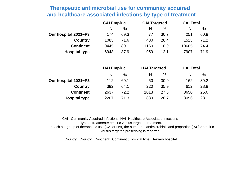# **Therapeutic antimicrobial use for community acquired and healthcare associated infections by type of treatment**

|                      | <b>CAI Empiric</b> |      | <b>CAI Targeted</b> |      | <b>CAI Total</b> |      |
|----------------------|--------------------|------|---------------------|------|------------------|------|
|                      | N                  | %    | N                   | %    | N                | $\%$ |
| Our hospital 2021-P3 | 174                | 69.3 | 77                  | 30.7 | 251              | 60.8 |
| <b>Country</b>       | 1083               | 71.6 | 430                 | 28.4 | 1513             | 71.2 |
| <b>Continent</b>     | 9445               | 89.1 | 1160                | 10.9 | 10605            | 74.4 |
| <b>Hospital type</b> | 6948               | 87.9 | 959                 | 12.1 | 7907             | 71.9 |

|                      | <b>HAI Empiric</b> |      | <b>HAI Targeted</b> |      | <b>HAI Total</b> |      |  |
|----------------------|--------------------|------|---------------------|------|------------------|------|--|
|                      | N                  | %    | N                   | $\%$ | N                | $\%$ |  |
| Our hospital 2021-P3 | 112                | 69.1 | 50                  | 30.9 | 162              | 39.2 |  |
| <b>Country</b>       | 392                | 64.1 | 220                 | 35.9 | 612              | 28.8 |  |
| <b>Continent</b>     | 2637               | 72.2 | 1013                | 27.8 | 3650             | 25.6 |  |
| <b>Hospital type</b> | 2207               | 71.3 | 889                 | 28.7 | 3096             | 28.1 |  |

CAI= Community Acquired Infections; HAI=Healthcare Associated Infections Type of treatment= empiric versus targeted treatment. For each subgroup of therapeutic use (CAI or HAI) the number of antimicrobials and proportion (%) for empiric versus targeted prescribing is reported.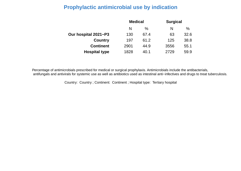# **Prophylactic antimicrobial use by indication**

|                      | <b>Medical</b> |      | <b>Surgical</b> |      |
|----------------------|----------------|------|-----------------|------|
|                      | N              | $\%$ | N               | $\%$ |
| Our hospital 2021-P3 | 130            | 67.4 | 63              | 32.6 |
| <b>Country</b>       | 197            | 61.2 | 125             | 38.8 |
| <b>Continent</b>     | 2901           | 44.9 | 3556            | 55.1 |
| <b>Hospital type</b> | 1828           | 40.1 | 2729            | 59.9 |

Percentage of antimicrobials prescribed for medical or surgical prophylaxis. Antimicrobials include the antibacterials, antifungals and antivirals for systemic use as well as antibiotics used as intestinal anti−infectives and drugs to treat tuberculosis.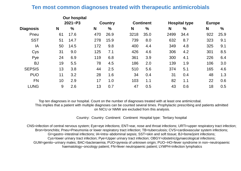#### **Ten most common diagnoses treated with therapeutic antimicrobials**

|                  |    | <b>Our hospital</b> |     |                |      |                  |      |                      |               |               |
|------------------|----|---------------------|-----|----------------|------|------------------|------|----------------------|---------------|---------------|
|                  |    | $2021 - P3$         |     | <b>Country</b> |      | <b>Continent</b> |      | <b>Hospital type</b> | <b>Europe</b> |               |
| <b>Diagnosis</b> | N  | $\%$                | N   | $\frac{0}{0}$  | N    | $\%$             | N    | $\frac{0}{0}$        | N             | $\frac{0}{0}$ |
| Pneu             | 61 | 17.6                | 470 | 26.9           | 3218 | 35.0             | 2499 | 34.4                 | 922           | 25.9          |
| <b>SST</b>       | 51 | 14.7                | 278 | 15.9           | 739  | 8.0              | 632  | 8.7                  | 323           | 9.1           |
| IA               | 50 | 14.5                | 172 | 9.8            | 400  | 4.4              | 349  | 4.8                  | 325           | 9.1           |
| Cys              | 31 | 9.0                 | 125 | 7.1            | 426  | 4.6              | 306  | 4.2                  | 301           | 8.5           |
| Pye              | 24 | 6.9                 | 119 | 6.8            | 361  | 3.9              | 300  | 4.1                  | 226           | 6.4           |
| <b>BJ</b>        | 19 | 5.5                 | 78  | 4.5            | 186  | 2.0              | 139  | 1.9                  | 106           | 3.0           |
| <b>SEPSIS</b>    | 13 | 3.8                 | 44  | 2.5            | 510  | 5.6              | 374  | 5.1                  | 165           | 4.6           |
| <b>PUO</b>       | 11 | 3.2                 | 28  | 1.6            | 34   | 0.4              | 31   | 0.4                  | 48            | 1.3           |
| <b>FN</b>        | 10 | 2.9                 | 17  | 1.0            | 103  | 1.1              | 82   | 1.1                  | 22            | 0.6           |
| <b>LUNG</b>      | 9  | 2.6                 | 13  | 0.7            | 47   | 0.5              | 43   | 0.6                  | 18            | 0.5           |
|                  |    |                     |     |                |      |                  |      |                      |               |               |

Top ten diagnoses in our hospital. Count on the number of diagnoses treated with at least one antimicrobal. This implies that a patient with multiple diagnoses can be counted several times. Prophylactic prescribing and patients admitted on NICU or NMW are excluded from this analysis.

Country: Country Continent: Continent Hospital type: Tertiary hospital

 CNS=infection of central nervous system; Eye=eye infections; ENT=ear, nose and throat infections; URTI=upper respiratory tract infection; Bron=bronchitis; Pneu=Pneumonia or lower respiratory tract infection; TB=tuberculosis; CVS=cardiovascular system infections; GI=gastro−intestinal infections; IA=intra−abdominal sepsis; SST=skin and soft tissue; BJ=bone/joint infections; Cys=lower urinary tract infection; Pye=Upper urinary tract infection; OBGY=obstetric/gynaecological infections; GUM=genito−urinary males; BAC=bacteraemia; PUO=pyrexia of unknown origin; PUO−HO=fever syndrome in non−neutropaenic haematology−oncology patient; FN=fever neutropaenic patient; LYMPH=infection lymphatics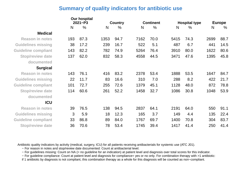#### **Summary of quality indicators for antibiotic use**

|                            |     | <b>Our hospital</b><br>$2021 - P3$ |      | <b>Country</b> |      | <b>Continent</b> |      | <b>Hospital type</b> |      | <b>Europe</b> |  |
|----------------------------|-----|------------------------------------|------|----------------|------|------------------|------|----------------------|------|---------------|--|
|                            | N   | $\frac{0}{0}$                      | N    | $\frac{0}{0}$  | N    | $\frac{0}{0}$    | N    | $\frac{0}{0}$        | N    | $\%$          |  |
| <b>Medical</b>             |     |                                    |      |                |      |                  |      |                      |      |               |  |
| <b>Reason in notes</b>     | 193 | 87.3                               | 1353 | 94.7           | 7162 | 70.0             | 5415 | 74.3                 | 2699 | 88.7          |  |
| <b>Guidelines missing</b>  | 38  | 17.2                               | 239  | 16.7           | 522  | 5.1              | 487  | 6.7                  | 441  | 14.5          |  |
| <b>Guideline compliant</b> | 143 | 82.2                               | 782  | 74.9           | 5264 | 76.4             | 3910 | 80.0                 | 1622 | 80.6          |  |
| <b>Stop/review date</b>    | 137 | 62.0                               | 832  | 58.3           | 4558 | 44.5             | 3471 | 47.6                 | 1395 | 45.8          |  |
| documented                 |     |                                    |      |                |      |                  |      |                      |      |               |  |
| <b>Surgical</b>            |     |                                    |      |                |      |                  |      |                      |      |               |  |
| <b>Reason in notes</b>     | 143 | 76.1                               | 416  | 83.2           | 2378 | 53.4             | 1888 | 53.5                 | 1647 | 84.7          |  |
| <b>Guidelines missing</b>  | 22  | 11.7                               | 83   | 16.6           | 310  | 7.0              | 288  | 8.2                  | 422  | 21.7          |  |
| <b>Guideline compliant</b> | 101 | 72.7                               | 255  | 72.6           | 1379 | 45.1             | 1128 | 48.0                 | 872  | 78.8          |  |
| <b>Stop/review date</b>    | 114 | 60.6                               | 261  | 52.2           | 1458 | 32.7             | 1086 | 30.8                 | 1048 | 53.9          |  |
| documented                 |     |                                    |      |                |      |                  |      |                      |      |               |  |
| <b>ICU</b>                 |     |                                    |      |                |      |                  |      |                      |      |               |  |
| <b>Reason in notes</b>     | 39  | 76.5                               | 138  | 94.5           | 2837 | 64.1             | 2191 | 64.0                 | 550  | 91.1          |  |
| <b>Guidelines missing</b>  | 3   | 5.9                                | 18   | 12.3           | 165  | 3.7              | 149  | 4.4                  | 135  | 22.4          |  |
| <b>Guideline compliant</b> | 33  | 86.8                               | 89   | 84.0           | 1767 | 69.7             | 1400 | 70.8                 | 304  | 83.7          |  |
| <b>Stop/review date</b>    | 36  | 70.6                               | 78   | 53.4           | 1745 | 39.4             | 1417 | 41.4                 | 250  | 41.4          |  |

Antibiotic quality indicators by activity (medical, surgery, ICU) for all patients receiving antibacterials for systemic use (ATC J01).

− For reason in notes and stop/review date documented: Count at antibacterial level.

− For guidelines missing: Count on NA (= no guideline for an indication) at patient level and diagnosis over total scores for this indicator.

− For guideline compliance: Count at patient level and diagnosis for compliance= yes or no only. For combination therapy with >1 antibiotic:

if 1 antibiotic by diagnosis is not compliant, this combination therapy as a whole for this diagnosis will be counted as non−compliant.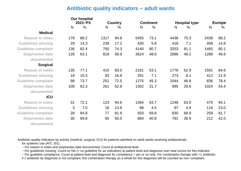#### **Antibiotic quality indicators − adult wards**

|                            |              | <b>Our hospital</b><br>$2021 - P3$ |              | <b>Country</b> |      | <b>Continent</b> |      | <b>Hospital type</b> |                | <b>Europe</b> |  |
|----------------------------|--------------|------------------------------------|--------------|----------------|------|------------------|------|----------------------|----------------|---------------|--|
|                            | $\mathsf{N}$ | $\frac{0}{0}$                      | $\mathsf{N}$ | $\frac{0}{0}$  | N    | $\frac{0}{0}$    | N    | $\frac{0}{0}$        | N <sub>1</sub> | $\frac{0}{0}$ |  |
| <b>Medical</b>             |              |                                    |              |                |      |                  |      |                      |                |               |  |
| <b>Reason in notes</b>     | 179          | 88.2                               | 1317         | 94.8           | 5455 | 73.1             | 4438 | 75.3                 | 2439           | 88.2          |  |
| <b>Guidelines missing</b>  | 29           | 14.3                               | 239          | 17.2           | 430  | 5.8              | 418  | 7.1                  | 408            | 14.8          |  |
| <b>Guideline compliant</b> | 136          | 82.4                               | 750          | 74.3           | 4140 | 80.7             | 3253 | 81.1                 | 1465           | 80.1          |  |
| <b>Stop/review date</b>    | 128          | 63.1                               | 818          | 58.9           | 3624 | 48.6             | 2896 | 49.2                 | 1288           | 46.6          |  |
| documented                 |              |                                    |              |                |      |                  |      |                      |                |               |  |
| <b>Surgical</b>            |              |                                    |              |                |      |                  |      |                      |                |               |  |
| <b>Reason in notes</b>     | 135          | 77.1                               | 410          | 83.0           | 2181 | 53.1             | 1776 | 52.9                 | 1591           | 84.6          |  |
| <b>Guidelines missing</b>  | 18           | 10.3                               | 83           | 16.8           | 291  | 7.1              | 273  | 8.1                  | 412            | 21.9          |  |
| <b>Guideline compliant</b> | 98           | 73.7                               | 251          | 72.5           | 1275 | 45.3             | 1044 | 46.8                 | 836            | 78.4          |  |
| <b>Stop/review date</b>    | 109          | 62.3                               | 261          | 52.8           | 1302 | 31.7             | 995  | 29.6                 | 1024           | 54.4          |  |
| documented                 |              |                                    |              |                |      |                  |      |                      |                |               |  |
| <b>ICU</b>                 |              |                                    |              |                |      |                  |      |                      |                |               |  |
| <b>Reason in notes</b>     | 31           | 72.1                               | 123          | 94.6           | 1394 | 63.7             | 1248 | 63.0                 | 475            | 94.1          |  |
| <b>Guidelines missing</b>  | 3            | 7.0                                | 18           | 13.8           | 98   | 4.5              | 97   | 4.9                  | 116            | 23.0          |  |
| <b>Guideline compliant</b> | 28           | 84.8                               | 77           | 81.9           | 933  | 69.8             | 830  | 68.9                 | 259            | 81.7          |  |
| <b>Stop/review date</b>    | 30           | 69.8                               | 65           | 50.0           | 894  | 40.8             | 791  | 39.9                 | 212            | 42.0          |  |
| documented                 |              |                                    |              |                |      |                  |      |                      |                |               |  |

Antibiotic quality indicators by activity (medical, surgical, ICU) for patients admitted on adult wards receiving antibacterials for systemic use (ATC J01).

− For reason in notes and stop/review date documented: Count at antibacterial level.

− For guidelines missing: Count on NA (= no guideline for an indication) at patient level and diagnosis over total scores for this indicator.

− For guideline compliance: Count at patient level and diagnosis for compliance = yes or no only. For combination therapy with >1 antibiotic:

if 1 antibiotic by diagnosis is not compliant, this combination therapy as a whole for this diagnosis will be counted as non−compliant.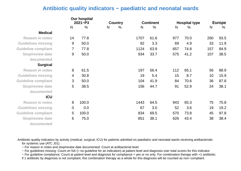#### **Antibiotic quality indicators − paediatric and neonatal wards**

|                            | <b>Our hospital</b><br>$2021 - P3$ |               | <b>Country</b> |      | <b>Continent</b> |               | <b>Hospital type</b> |               | <b>Europe</b> |               |
|----------------------------|------------------------------------|---------------|----------------|------|------------------|---------------|----------------------|---------------|---------------|---------------|
|                            | $\mathsf{N}$                       | $\frac{0}{0}$ | N              | $\%$ | N                | $\frac{0}{0}$ | N                    | $\frac{0}{0}$ | N             | $\frac{0}{0}$ |
| <b>Medical</b>             |                                    |               |                |      |                  |               |                      |               |               |               |
| <b>Reason in notes</b>     | 14                                 | 77.8          |                |      | 1707             | 61.6          | 977                  | 70.0          | 260           | 93.5          |
| <b>Guidelines missing</b>  | 9                                  | 50.0          |                |      | 92               | 3.3           | 69                   | 4.9           | 33            | 11.9          |
| <b>Guideline compliant</b> | 7                                  | 77.8          |                |      | 1124             | 63.9          | 657                  | 74.8          | 157           | 84.9          |
| <b>Stop/review date</b>    | $9\,$                              | 50.0          |                |      | 934              | 33.7          | 575                  | 41.2          | 107           | 38.5          |
| documented                 |                                    |               |                |      |                  |               |                      |               |               |               |
| <b>Surgical</b>            |                                    |               |                |      |                  |               |                      |               |               |               |
| <b>Reason in notes</b>     | 8                                  | 61.5          |                |      | 197              | 56.4          | 112                  | 65.1          | 56            | 88.9          |
| <b>Guidelines missing</b>  | 4                                  | 30.8          |                |      | 19               | 5.4           | 15                   | 8.7           | 10            | 15.9          |
| <b>Guideline compliant</b> | 3                                  | 50.0          |                |      | 104              | 41.9          | 84                   | 70.6          | 36            | 87.8          |
| <b>Stop/review date</b>    | 5                                  | 38.5          |                |      | 156              | 44.7          | 91                   | 52.9          | 24            | 38.1          |
| documented                 |                                    |               |                |      |                  |               |                      |               |               |               |
| <b>ICU</b>                 |                                    |               |                |      |                  |               |                      |               |               |               |
| <b>Reason in notes</b>     | 8                                  | 100.0         |                |      | 1443             | 64.5          | 943                  | 65.3          | 75            | 75.8          |
| <b>Guidelines missing</b>  | $\mathbf 0$                        | 0.0           |                |      | 67               | 3.0           | 52                   | 3.6           | 19            | 19.2          |
| <b>Guideline compliant</b> | 5                                  | 100.0         |                |      | 834              | 69.5          | 570                  | 73.8          | 45            | 97.8          |
| <b>Stop/review date</b>    | 6                                  | 75.0          |                |      | 851              | 38.1          | 626                  | 43.4          | 38            | 38.4          |
| documented                 |                                    |               |                |      |                  |               |                      |               |               |               |

Antibiotic quality indicators by activity (medical, surgical, ICU) for patients admitted on paediatric and neonatal wards receiving antibacterials for systemic use (ATC J01).

− For reason in notes and stop/review date documented: Count at antibacterial level.

− For guidelines missing: Count on NA (= no guideline for an indication) at patient level and diagnosis over total scores for this indicator.

− For guideline compliance: Count at patient level and diagnosis for compliance = yes or no only. For combination therapy with >1 antibiotic:

if 1 antibiotic by diagnosis is not compliant, this combination therapy as a whole for this diagnosis will be counted as non−compliant.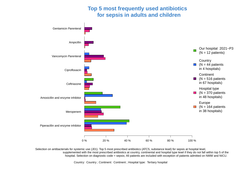# **Top 5 most frequently used antibiotics for sepsis in adults and children**



Selection on antibacterials for systemic use (J01). Top 5 most prescribed antibiotics (ATC5, substance level) for sepsis at hospital level, supplemented with the most prescribed antibiotics at country, continental and hospital type level if they do not fall within top 5 of the hospital. Selection on diagnostic code = sepsis; All patients are included with exception of patients admitted on NMW and NICU.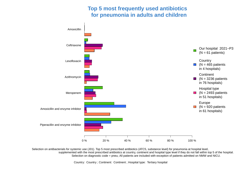# **Top 5 most frequently used antibiotics for pneumonia in adults and children**



Selection on antibacterials for systemic use (J01). Top 5 most prescribed antibiotics (ATC5, substance level) for pneumonia at hospital level, supplemented with the most prescribed antibiotics at country, continent and hospital type level if they do not fall within top 5 of the hospital. Selection on diagnostic code = pneu; All patients are included with exception of patients admitted on NMW and NICU.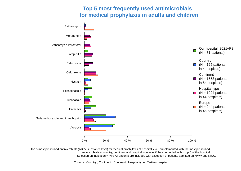#### **Top 5 most frequently used antimicrobials for medical prophylaxis in adults and children**



Top 5 most prescribed antimicrobials (ATC5, substance level) for medical prophylaxis at hospital level, supplemented with the most prescribed antimicrobials at country, continent and hospital type level if they do not fall within top 5 of the hospital. Selection on indication = MP; All patients are included with exception of patients admitted on NMW and NICU.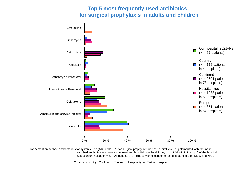#### **Top 5 most frequently used antibiotics for surgical prophylaxis in adults and children**



Top 5 most prescribed antibacterials for systemic use (ATC code J01) for surgical prophylaxis use at hospital level, supplemented with the most prescribed antibiotics at country, continent and hospital type level if they do not fall within the top 5 of the hospital. Selection on indication = SP; All patients are included with exception of patients admitted on NMW and NICU.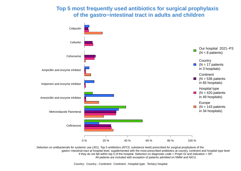### **Top 5 most frequently used antibiotics for surgical prophylaxis of the gastro−intestinal tract in adults and children**



Selection on antibacterials for systemic use (J01). Top 5 antibiotics (ATC5, substance level) prescribed for surgical prophylaxis of the gastro−intestinal tract at hospital level, supplemented with the most prescribed antibiotics at country, continent and hospital type level if they do not fall within top 5 of the hospital. Selection on diagnostic code = Proph GI and indication =  $SP$ ; All patients are included with exception of patients admitted on NMW and NICU.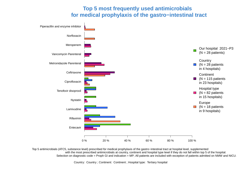#### **Top 5 most frequently used antimicrobials for medical prophylaxis of the gastro−intestinal tract**



Top 5 antimicrobials (ATC5, substance level) prescribed for medical prophylaxis of the gastro−intestinal tract at hospital level, supplemented with the most prescribed antimicrobials at country, continent and hospital type level if they do not fall within top 5 of the hospital. Selection on diagnostic code = Proph GI and indication = MP; All patients are included with exception of patients admitted on NMW and NICU.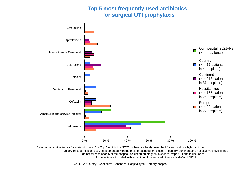# **Top 5 most frequently used antibiotics for surgical UTI prophylaxis**



Selection on antibacterials for systemic use (J01). Top 5 antibiotics (ATC5, substance level) prescribed for surgical prophylaxis of the urinary tract at hospital level, supplemented with the most prescribed antibiotics at country, continent and hospital type level if they do not fall within top 5 of the hospital. Selection on diagnostic code = Proph UTI and indication = SP; All patients are included with exception of patients admitted on NMW and NICU.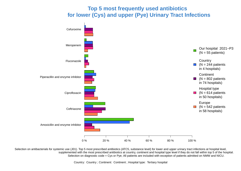# **Top 5 most frequently used antibiotics for lower (Cys) and upper (Pye) Urinary Tract Infections**



Selection on antibacterials for systemic use (J01). Top 5 most prescribed antibiotics (ATC5, substance level) for lower and upper urinary tract infections at hospital level, supplemented with the most prescribed antibiotics at country, continent and hospital type level if they do not fall within top 5 of the hospital. Selection on diagnostic code = Cys or Pye; All patients are included with exception of patients admitted on NMW and NICU.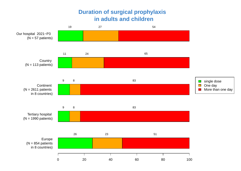# **Duration of surgical prophylaxis in adults and children**

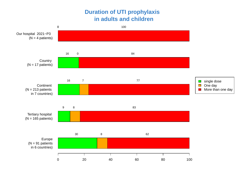# **Duration of UTI prophylaxis in adults and children**

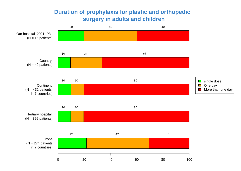# **Duration of prophylaxis for plastic and orthopedic surgery in adults and children**

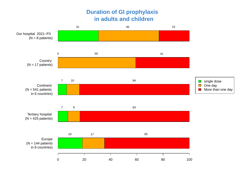# **Duration of GI prophylaxis in adults and children**

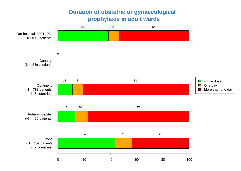# **Duration of obstetric or gynaecological prophylaxis in adult wards**

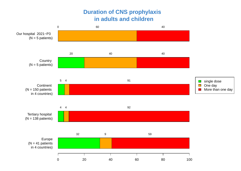# **Duration of CNS prophylaxis in adults and children**

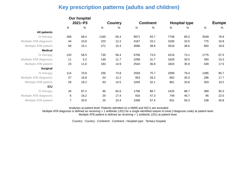### **Key prescription patterns (adults and children)**

|                               |                | Our hospital  |           |                |      |                  |                      |      |              |               |
|-------------------------------|----------------|---------------|-----------|----------------|------|------------------|----------------------|------|--------------|---------------|
|                               |                | $2021 - P3$   |           | <b>Country</b> |      | <b>Continent</b> | <b>Hospital type</b> |      |              | <b>Europe</b> |
|                               | N              | $\frac{0}{0}$ | ${\sf N}$ | %              | N    | $\frac{0}{0}$    | ${\sf N}$            | %    | $\mathsf{N}$ | %             |
| <b>All patients</b>           |                |               |           |                |      |                  |                      |      |              |               |
| IV therapy                    | 268            | 68.4          | 1160      | 65.4           | 9971 | 83.7             | 7748                 | 85.0 | 3549         | 78.9          |
| <b>Multiple ATB diagnosis</b> | 44             | 10.8          | 223       | 12.2           | 4167 | 33.1             | 3180                 | 33.0 | 775          | 16.8          |
| <b>Multiple ATB patient</b>   | 59             | 15.1          | 271       | 15.3           | 4596 | 38.6             | 3516                 | 38.6 | 850          | 18.9          |
| <b>Medical</b>                |                |               |           |                |      |                  |                      |      |              |               |
| IV therapy                    | 120            | 58.5          | 730       | 56.4           | 5706 | 73.0             | 4216                 | 73.1 | 1775         | 67.5          |
| <b>Multiple ATB diagnosis</b> | 11             | 5.2           | 149       | 11.7           | 2298 | 31.7             | 1629                 | 30.5 | 394          | 15.3          |
| <b>Multiple ATB patient</b>   | 23             | 11.6          | 183       | 14.9           | 2543 | 36.8             | 1824                 | 35.9 | 439          | 17.5          |
| <b>Surgical</b>               |                |               |           |                |      |                  |                      |      |              |               |
| IV therapy                    | 114            | 70.8          | 335       | 73.8           | 2559 | 75.7             | 2099                 | 79.4 | 1385         | 85.7          |
| <b>Multiple ATB diagnosis</b> | 27             | 16.8          | 54        | 12.2           | 953  | 28.2             | 802                  | 30.3 | 286          | 17.7          |
| <b>Multiple ATB patient</b>   | 29             | 18.2          | 63        | 14.5           | 1045 | 32.1             | 861                  | 33.6 | 303          | 19.2          |
| <b>ICU</b>                    |                |               |           |                |      |                  |                      |      |              |               |
| IV therapy                    | 34             | 87.2          | 95        | 82.6           | 1706 | 88.7             | 1433                 | 88.7 | 389          | 95.3          |
| <b>Multiple ATB diagnosis</b> | $\,6$          | 16.2          | 20        | 17.4           | 916  | 47.3             | 749                  | 45.7 | 95           | 22.5          |
| <b>Multiple ATB patient</b>   | $\overline{7}$ | 20.0          | 25        | 23.4           | 1008 | 57.4             | 831                  | 56.3 | 108          | 26.8          |

Analyses at patient level. Patients admitted on a NMW and NICU are excluded.

 Multiple ATB diagnosis is defined as receiving > 1 antibiotic (J01) for a single identified reason to treat (=diagnose code) at patient level. Multiple ATB patient is defined as receiving > 1 antibiotic (J01) at patient level.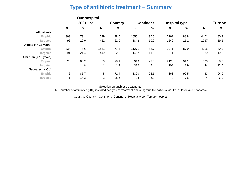# **Type of antibiotic treatment − Summary**

|                        |             | <b>Our hospital</b> |                |                |       |                  |                      |      |                           |               |
|------------------------|-------------|---------------------|----------------|----------------|-------|------------------|----------------------|------|---------------------------|---------------|
|                        |             | $2021 - P3$         |                | <b>Country</b> |       | <b>Continent</b> | <b>Hospital type</b> |      |                           | <b>Europe</b> |
|                        | $\mathbf N$ | $\%$                | N              | $\frac{9}{6}$  | N     | $\%$             | N                    | %    | $\boldsymbol{\mathsf{N}}$ | %             |
| <b>All patients</b>    |             |                     |                |                |       |                  |                      |      |                           |               |
| Empiric                | 363         | 79.1                | 1599           | 78.0           | 16501 | 90.0             | 12262                | 88.8 | 4401                      | 80.9          |
| Targeted               | 96          | 20.9                | 452            | 22.0           | 1842  | 10.0             | 1549                 | 11.2 | 1037                      | 19.1          |
| Adults (>= 18 years)   |             |                     |                |                |       |                  |                      |      |                           |               |
| Empiric                | 334         | 78.6                | 1541           | 77.4           | 11271 | 88.7             | 9271                 | 87.9 | 4015                      | 80.2          |
| <b>Targeted</b>        | 91          | 21.4                | 449            | 22.6           | 1432  | 11.3             | 1271                 | 12.1 | 989                       | 19.8          |
| Children (< 18 years)  |             |                     |                |                |       |                  |                      |      |                           |               |
| Empiric                | 23          | 85.2                | 53             | 98.1           | 3910  | 92.6             | 2128                 | 91.1 | 323                       | 88.0          |
| <b>Targeted</b>        | 4           | 14.8                | 1              | 1.9            | 312   | 7.4              | 208                  | 8.9  | 44                        | 12.0          |
| <b>Neonates (NICU)</b> |             |                     |                |                |       |                  |                      |      |                           |               |
| Empiric                | 6           | 85.7                | 5              | 71.4           | 1320  | 93.1             | 863                  | 92.5 | 63                        | 94.0          |
| <b>Targeted</b>        |             | 14.3                | $\overline{2}$ | 28.6           | 98    | 6.9              | 70                   | 7.5  | 4                         | 6.0           |

Selection on antibiotic treatments.

N = number of antibiotics (J01) included per type of treatment and subgroup (all patients, adults, children and neonates).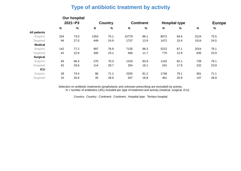#### **Type of antibiotic treatment by activity**

|                     |             | Our hospital |                           |                |              |                  |      |                      |             |               |  |
|---------------------|-------------|--------------|---------------------------|----------------|--------------|------------------|------|----------------------|-------------|---------------|--|
|                     | $2021 - P3$ |              |                           | <b>Country</b> |              | <b>Continent</b> |      | <b>Hospital type</b> |             | <b>Europe</b> |  |
|                     | N           | %            | $\boldsymbol{\mathsf{N}}$ | $\%$           | $\mathsf{N}$ | %                | N    | %                    | $\mathbf N$ | $\%$          |  |
| <b>All patients</b> |             |              |                           |                |              |                  |      |                      |             |               |  |
| Empiric             | 254         | 73.0         | 1353                      | 75.1           | 10779        | 86.1             | 8072 | 84.6                 | 3124        | 75.5          |  |
| <b>Targeted</b>     | 94          | 27.0         | 449                       | 24.9           | 1737         | 13.9             | 1472 | 15.4                 | 1014        | 24.5          |  |
| <b>Medical</b>      |             |              |                           |                |              |                  |      |                      |             |               |  |
| Empiric             | 142         | 77.2         | 997                       | 76.9           | 7135         | 88.3             | 5222 | 87.1                 | 2024        | 76.1          |  |
| <b>Targeted</b>     | 42          | 22.8         | 300                       | 23.1           | 946          | 11.7             | 770  | 12.9                 | 635         | 23.9          |  |
| <b>Surgical</b>     |             |              |                           |                |              |                  |      |                      |             |               |  |
| <b>Empiric</b>      | 83          | 66.4         | 270                       | 70.3           | 1319         | 83.9             | 1102 | 82.1                 | 739         | 76.1          |  |
| <b>Targeted</b>     | 42          | 33.6         | 114                       | 29.7           | 254          | 16.1             | 241  | 17.9                 | 232         | 23.9          |  |
| <b>ICU</b>          |             |              |                           |                |              |                  |      |                      |             |               |  |
| Empiric             | 29          | 74.4         | 86                        | 71.1           | 2325         | 81.2             | 1748 | 79.1                 | 361         | 71.1          |  |
| Targeted            | 10          | 25.6         | 35                        | 28.9           | 537          | 18.8             | 461  | 20.9                 | 147         | 28.9          |  |

Selection on antibiotic treatments (prophylactic and unknown prescribing are excluded) by activity.  $N =$  number of antibiotics (J01) included per type of treatment and activity (medical, surgical, ICU).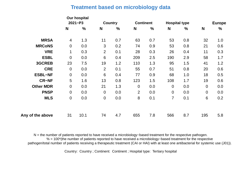#### **Treatment based on microbiology data**

|                  |                | <b>Our hospital</b> |                 |               |                  |               |                      |               |                |               |
|------------------|----------------|---------------------|-----------------|---------------|------------------|---------------|----------------------|---------------|----------------|---------------|
|                  |                | $2021 - P3$         | <b>Country</b>  |               | <b>Continent</b> |               | <b>Hospital type</b> |               |                | <b>Europe</b> |
|                  | N              | $\frac{0}{0}$       | N               | $\frac{0}{0}$ | N                | $\frac{0}{0}$ | N                    | $\frac{0}{0}$ | N              | $\frac{0}{0}$ |
| <b>MRSA</b>      | $\overline{4}$ | 1.3                 | 11              | 0.7           | 63               | 0.7           | 53                   | 0.8           | 32             | 1.0           |
| <b>MRCoNS</b>    | $\overline{0}$ | 0.0                 | 3               | 0.2           | 74               | 0.9           | 53                   | 0.8           | 21             | 0.6           |
| <b>VRE</b>       | $\mathbf{1}$   | 0.3                 | $\overline{2}$  | 0.1           | 28               | 0.3           | 26                   | 0.4           | 11             | 0.3           |
| <b>ESBL</b>      | $\overline{0}$ | 0.0                 | $6\phantom{1}6$ | 0.4           | 209              | 2.5           | 190                  | 2.9           | 58             | 1.7           |
| <b>3GCREB</b>    | 23             | 7.5                 | 19              | 1.2           | 110              | 1.3           | 95                   | 1.5           | 41             | 1.2           |
| <b>CRE</b>       | $\overline{0}$ | 0.0                 | $\overline{2}$  | 0.1           | 55               | 0.7           | 51                   | 0.8           | 20             | 0.6           |
| <b>ESBL-NF</b>   | $\theta$       | 0.0                 | $6\phantom{1}6$ | 0.4           | 77               | 0.9           | 68                   | 1.0           | 18             | 0.5           |
| <b>CR-NF</b>     | 5              | 1.6                 | 13              | 0.8           | 123              | 1.5           | 108                  | 1.7           | 19             | 0.6           |
| <b>Other MDR</b> | $\overline{0}$ | 0.0                 | 21              | 1.3           | $\overline{0}$   | 0.0           | $\theta$             | 0.0           | $\overline{0}$ | 0.0           |
| <b>PNSP</b>      | $\overline{0}$ | 0.0                 | $\theta$        | 0.0           | $\overline{2}$   | 0.0           | $\mathbf 0$          | 0.0           | $\overline{0}$ | 0.0           |
| <b>MLS</b>       | $\overline{0}$ | 0.0                 | $\mathbf 0$     | 0.0           | 8                | 0.1           | $\overline{7}$       | 0.1           | 6              | 0.2           |
| of the above     | 31             | 10.1                | 74              | 4.7           | 655              | 7.8           | 566                  | 8.7           | 195            | 5.8           |

N = the number of patients reported to have received a microbiology−based treatment for the respective pathogen. % = 100\*(the number of patients reported to have received a microbiology−based treatment for the respective pathogen/total number of patients receiving a therapeutic treatment (CAI or HAI) with at least one antibacterial for systemic use (J01)).

Country: Country ; Continent: Continent ; Hospital type: Tertiary hospital

Any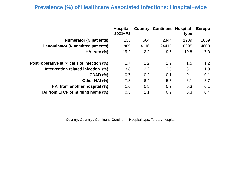## **Prevalence (%) of Healthcare Associated Infections: Hospital−wide**

|                                            | <b>Hospital</b><br>$2021 - P3$ |      | <b>Country Continent Hospital</b> | type  | <b>Europe</b> |
|--------------------------------------------|--------------------------------|------|-----------------------------------|-------|---------------|
| <b>Numerator (N patients)</b>              | 135                            | 504  | 2344                              | 1989  | 1059          |
| <b>Denominator (N admitted patients)</b>   | 889                            | 4116 | 24415                             | 18395 | 14603         |
| HAI rate $(\%)$                            | 15.2                           | 12.2 | 9.6                               | 10.8  | 7.3           |
| Post-operative surgical site infection (%) | 1.7                            | 1.2  | 1.2                               | 1.5   | 1.2           |
| Intervention related infection (%)         | 3.8                            | 2.2  | 2.5                               | 3.1   | 1.9           |
| CDAD (%)                                   | 0.7                            | 0.2  | 0.1                               | 0.1   | 0.1           |
| Other HAI (%)                              | 7.8                            | 6.4  | 5.7                               | 6.1   | 3.7           |
| HAI from another hospital (%)              | 1.6                            | 0.5  | 0.2                               | 0.3   | 0.1           |
| HAI from LTCF or nursing home (%)          | 0.3                            | 2.1  | 0.2                               | 0.3   | 0.4           |
|                                            |                                |      |                                   |       |               |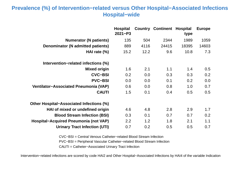### **Prevalence (%) of Intervention−related versus Other Hospital−Associated Infections Hospital−wide**

|                                              | <b>Hospital</b><br>$2021 - P3$ | Country | <b>Continent</b> | <b>Hospital</b><br>type | <b>Europe</b> |
|----------------------------------------------|--------------------------------|---------|------------------|-------------------------|---------------|
| <b>Numerator (N patients)</b>                | 135                            | 504     | 2344             | 1989                    | 1059          |
| Denominator (N admitted patients)            | 889                            | 4116    | 24415            | 18395                   | 14603         |
| HAI rate (%)                                 | 15.2                           | 12.2    | 9.6              | 10.8                    | 7.3           |
| Intervention-related infections (%)          |                                |         |                  |                         |               |
| <b>Mixed origin</b>                          | 1.6                            | 2.1     | 1.1              | 1.4                     | 0.5           |
| <b>CVC-BSI</b>                               | 0.2                            | 0.0     | 0.3              | 0.3                     | 0.2           |
| <b>PVC-BSI</b>                               | 0.0                            | 0.0     | 0.1              | 0.2                     | 0.0           |
| <b>Ventilator-Associated Pneumonia (VAP)</b> | 0.6                            | 0.0     | 0.8              | 1.0                     | 0.7           |
| <b>CAUTI</b>                                 | 1.5                            | 0.1     | 0.4              | 0.5                     | 0.5           |
| Other Hospital–Associated Infections (%)     |                                |         |                  |                         |               |
| HAI of mixed or undefined origin             | 4.6                            | 4.8     | 2.8              | 2.9                     | 1.7           |
| <b>Blood Stream Infection (BSI)</b>          | 0.3                            | 0.1     | 0.7              | 0.7                     | 0.2           |
| <b>Hospital-Acquired Pneumonia (not VAP)</b> | 2.2                            | 1.2     | 1.8              | 2.1                     | 1.1           |
| <b>Urinary Tract Infection (UTI)</b>         | 0.7                            | 0.2     | 0.5              | 0.5                     | 0.7           |

CVC−BSI = Central Venous Catheter−related Blood Stream Infection

PVC−BSI = Peripheral Vascular Catheter−related Blood Stream Infection

CAUTI = Catheter−Associated Urinary Tract Infection

Intervention−related infections are scored by code HAI2 and Other Hospital−Associated Infections by HAI4 of the variable Indication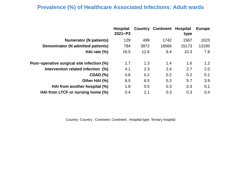#### **Prevalence (%) of Healthcare Associated Infections: Adult wards**

|                                            | <b>Hospital</b><br>$2021 - P3$ | Country | <b>Continent Hospital</b> | type  | <b>Europe</b>    |
|--------------------------------------------|--------------------------------|---------|---------------------------|-------|------------------|
| <b>Numerator (N patients)</b>              | 129                            | 499     | 1742                      | 1567  | 1023             |
| Denominator (N admitted patients)          | 784                            | 3972    | 18566                     | 15173 | 13195            |
| HAI rate $(\%)$                            | 16.5                           | 12.6    | 9.4                       | 10.3  | 7.8              |
| Post–operative surgical site infection (%) | 1.7                            | 1.3     | 1.4                       | 1.6   | 1.2 <sub>2</sub> |
| Intervention related infection (%)         | 4.1                            | 2.3     | 2.4                       | 2.7   | 2.0              |
| CDAD (%)                                   | 0.8                            | 0.2     | 0.2                       | 0.2   | 0.1              |
| Other HAI (%)                              | 8.5                            | 6.5     | 5.3                       | 5.7   | 3.9              |
| HAI from another hospital (%)              | 1.8                            | 0.5     | 0.3                       | 0.3   | 0.1              |
| HAI from LTCF or nursing home (%)          | 0.4                            | 2.1     | 0.3                       | 0.3   | 0.4              |
|                                            |                                |         |                           |       |                  |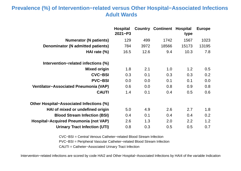#### **Prevalence (%) of Intervention−related versus Other Hospital−Associated Infections Adult Wards**

|                                              | <b>Hospital</b><br>$2021 - P3$ |      | <b>Country Continent Hospital</b> | type  | <b>Europe</b> |
|----------------------------------------------|--------------------------------|------|-----------------------------------|-------|---------------|
| <b>Numerator (N patients)</b>                | 129                            | 499  | 1742                              | 1567  | 1023          |
| Denominator (N admitted patients)            | 784                            | 3972 | 18566                             | 15173 | 13195         |
| HAI rate $(\%)$                              | 16.5                           | 12.6 | 9.4                               | 10.3  | 7.8           |
| Intervention-related infections (%)          |                                |      |                                   |       |               |
| <b>Mixed origin</b>                          | 1.8                            | 2.1  | 1.0                               | 1.2   | 0.5           |
| <b>CVC-BSI</b>                               | 0.3                            | 0.1  | 0.3                               | 0.3   | 0.2           |
| <b>PVC-BSI</b>                               | 0.0                            | 0.0  | 0.1                               | 0.1   | 0.0           |
| <b>Ventilator-Associated Pneumonia (VAP)</b> | 0.6                            | 0.0  | 0.8                               | 0.9   | 0.8           |
| <b>CAUTI</b>                                 | 1.4                            | 0.1  | 0.4                               | 0.5   | 0.6           |
| Other Hospital–Associated Infections (%)     |                                |      |                                   |       |               |
| HAI of mixed or undefined origin             | 5.0                            | 4.9  | 2.6                               | 2.7   | 1.8           |
| <b>Blood Stream Infection (BSI)</b>          | 0.4                            | 0.1  | 0.4                               | 0.4   | 0.2           |
| Hospital-Acquired Pneumonia (not VAP)        | 2.6                            | 1.3  | 2.0                               | 2.2   | 1.2           |
| <b>Urinary Tract Infection (UTI)</b>         | 0.8                            | 0.3  | 0.5                               | 0.5   | 0.7           |

CVC−BSI = Central Venous Catheter−related Blood Stream Infection

PVC−BSI = Peripheral Vascular Catheter−related Blood Stream Infection

CAUTI = Catheter−Associated Urinary Tract Infection

Intervention−related infections are scored by code HAI2 and Other Hospital−Associated Infections by HAI4 of the variable Indication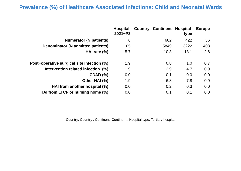#### **Prevalence (%) of Healthcare Associated Infections: Child and Neonatal Wards**

|                                            | <b>Hospital</b><br>$2021 - P3$ | <b>Country Continent Hospital</b> | type | <b>Europe</b> |
|--------------------------------------------|--------------------------------|-----------------------------------|------|---------------|
| <b>Numerator (N patients)</b>              | 6                              | 602                               | 422  | 36            |
| <b>Denominator (N admitted patients)</b>   | 105                            | 5849                              | 3222 | 1408          |
| HAI rate $(\%)$                            | 5.7                            | 10.3                              | 13.1 | 2.6           |
| Post-operative surgical site infection (%) | 1.9                            | 0.8                               | 1.0  | 0.7           |
| Intervention related infection (%)         | 1.9                            | 2.9                               | 4.7  | 0.9           |
| <b>CDAD (%)</b>                            | 0.0                            | 0.1                               | 0.0  | 0.0           |
| Other HAI (%)                              | 1.9                            | 6.8                               | 7.8  | 0.9           |
| HAI from another hospital (%)              | 0.0                            | 0.2                               | 0.3  | 0.0           |
| HAI from LTCF or nursing home (%)          | 0.0                            | 0.1                               | 0.1  | 0.0           |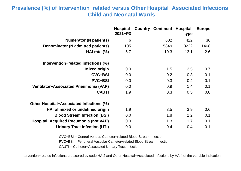### **Prevalence (%) of Intervention−related versus Other Hospital−Associated Infections Child and Neonatal Wards**

|                                              | <b>Hospital</b><br>$2021 - P3$ | Country | <b>Continent Hospital</b> | type | <b>Europe</b> |
|----------------------------------------------|--------------------------------|---------|---------------------------|------|---------------|
| <b>Numerator (N patients)</b>                | 6                              |         | 602                       | 422  | 36            |
| <b>Denominator (N admitted patients)</b>     | 105                            |         | 5849                      | 3222 | 1408          |
| HAI rate $(\%)$                              | 5.7                            |         | 10.3                      | 13.1 | 2.6           |
| Intervention–related infections (%)          |                                |         |                           |      |               |
| <b>Mixed origin</b>                          | 0.0                            |         | 1.5                       | 2.5  | 0.7           |
| <b>CVC-BSI</b>                               | 0.0                            |         | 0.2                       | 0.3  | 0.1           |
| <b>PVC-BSI</b>                               | 0.0                            |         | 0.3                       | 0.4  | 0.1           |
| <b>Ventilator-Associated Pneumonia (VAP)</b> | 0.0                            |         | 0.9                       | 1.4  | 0.1           |
| <b>CAUTI</b>                                 | 1.9                            |         | 0.3                       | 0.5  | 0.0           |
| Other Hospital–Associated Infections (%)     |                                |         |                           |      |               |
| HAI of mixed or undefined origin             | 1.9                            |         | 3.5                       | 3.9  | 0.6           |
| <b>Blood Stream Infection (BSI)</b>          | 0.0                            |         | 1.8                       | 2.2  | 0.1           |
| Hospital-Acquired Pneumonia (not VAP)        | 0.0                            |         | 1.3                       | 1.7  | 0.1           |
| <b>Urinary Tract Infection (UTI)</b>         | 0.0                            |         | 0.4                       | 0.4  | 0.1           |

CVC−BSI = Central Venous Catheter−related Blood Stream Infection

PVC−BSI = Peripheral Vascular Catheter−related Blood Stream Infection

CAUTI = Catheter−Associated Urinary Tract Infection

Intervention−related infections are scored by code HAI2 and Other Hospital−Associated Infections by HAI4 of the variable Indication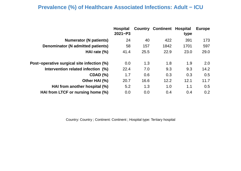## **Prevalence (%) of Healthcare Associated Infections: Adult − ICU**

|                                                                        | 173<br>597 |
|------------------------------------------------------------------------|------------|
| 391<br>24<br>422<br><b>Numerator (N patients)</b><br>40                |            |
| Denominator (N admitted patients)<br>58<br>1842<br>1701<br>157         |            |
| 25.5<br>22.9<br>23.0<br>HAI rate $(\%)$<br>41.4                        | 29.0       |
| Post-operative surgical site infection (%)<br>1.8<br>1.9<br>0.0<br>1.3 | 2.0        |
| Intervention related infection (%)<br>9.3<br>7.0<br>9.3<br>22.4        | 14.2       |
| 0.3<br>CDAD (%)<br>1.7<br>0.6<br>0.3                                   | 0.5        |
| Other HAI (%)<br>16.6<br>12.2<br>12.1<br>20.7                          | 11.7       |
| 1.1<br>1.3<br>1.0<br>HAI from another hospital (%)<br>5.2              | 0.5        |
| HAI from LTCF or nursing home (%)<br>0.0<br>0.0<br>0.4<br>0.4          | 0.2        |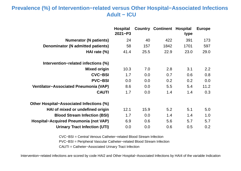#### **Prevalence (%) of Intervention−related versus Other Hospital−Associated Infections Adult − ICU**

|                                              | <b>Hospital</b><br>$2021 - P3$ | Country | <b>Continent</b> | <b>Hospital</b><br>type | <b>Europe</b> |
|----------------------------------------------|--------------------------------|---------|------------------|-------------------------|---------------|
| <b>Numerator (N patients)</b>                | 24                             | 40      | 422              | 391                     | 173           |
| <b>Denominator (N admitted patients)</b>     | 58                             | 157     | 1842             | 1701                    | 597           |
| HAI rate $(\%)$                              | 41.4                           | 25.5    | 22.9             | 23.0                    | 29.0          |
| Intervention–related infections (%)          |                                |         |                  |                         |               |
| <b>Mixed origin</b>                          | 10.3                           | 7.0     | 2.8              | 3.1                     | 2.2           |
| <b>CVC-BSI</b>                               | 1.7                            | 0.0     | 0.7              | 0.6                     | 0.8           |
| <b>PVC-BSI</b>                               | 0.0                            | 0.0     | 0.2              | 0.2                     | 0.0           |
| <b>Ventilator-Associated Pneumonia (VAP)</b> | 8.6                            | 0.0     | 5.5              | 5.4                     | 11.2          |
| <b>CAUTI</b>                                 | 1.7                            | 0.0     | 1.4              | 1.4                     | 0.3           |
| Other Hospital–Associated Infections (%)     |                                |         |                  |                         |               |
| HAI of mixed or undefined origin             | 12.1                           | 15.9    | 5.2              | 5.1                     | 5.0           |
| <b>Blood Stream Infection (BSI)</b>          | 1.7                            | 0.0     | 1.4              | 1.4                     | 1.0           |
| <b>Hospital-Acquired Pneumonia (not VAP)</b> | 6.9                            | 0.6     | 5.6              | 5.7                     | 5.7           |
| <b>Urinary Tract Infection (UTI)</b>         | 0.0                            | 0.0     | 0.6              | 0.5                     | 0.2           |

CVC−BSI = Central Venous Catheter−related Blood Stream Infection

PVC−BSI = Peripheral Vascular Catheter−related Blood Stream Infection

CAUTI = Catheter−Associated Urinary Tract Infection

Intervention−related infections are scored by code HAI2 and Other Hospital−Associated Infections by HAI4 of the variable Indication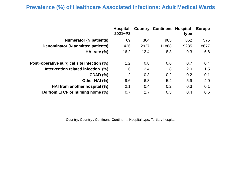#### **Prevalence (%) of Healthcare Associated Infections: Adult Medical Wards**

| 862<br>985<br><b>Numerator (N patients)</b><br>69<br>364<br>Denominator (N admitted patients)<br>426<br>11868<br>9285<br>2927<br>9.3<br>12.4<br>8.3<br>HAI rate $(\%)$<br>16.2 | <b>Europe</b> |
|--------------------------------------------------------------------------------------------------------------------------------------------------------------------------------|---------------|
|                                                                                                                                                                                | 575           |
|                                                                                                                                                                                | 8677          |
|                                                                                                                                                                                | 6.6           |
| 0.6<br>0.7<br>Post-operative surgical site infection (%)<br>1.2<br>0.8                                                                                                         | 0.4           |
| Intervention related infection (%)<br>1.8<br>2.0<br>1.6<br>2.4                                                                                                                 | 1.5           |
| 0.3<br>0.2<br>0.2<br><b>CDAD (%)</b><br>1.2                                                                                                                                    | 0.1           |
| Other HAI (%)<br>6.3<br>5.9<br>9.6<br>5.4                                                                                                                                      | 4.0           |
| HAI from another hospital (%)<br>2.1<br>0.4<br>0.2<br>0.3                                                                                                                      | 0.1           |
| HAI from LTCF or nursing home (%)<br>0.3<br>0.7<br>2.7<br>0.4                                                                                                                  | 0.6           |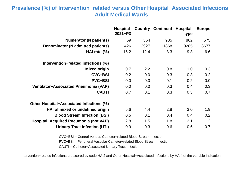### **Prevalence (%) of Intervention−related versus Other Hospital−Associated Infections Adult Medical Wards**

|                                              | <b>Hospital</b><br>$2021 - P3$ |      | <b>Country Continent</b> | <b>Hospital</b><br>type | <b>Europe</b> |
|----------------------------------------------|--------------------------------|------|--------------------------|-------------------------|---------------|
| <b>Numerator (N patients)</b>                | 69                             | 364  | 985                      | 862                     | 575           |
| <b>Denominator (N admitted patients)</b>     | 426                            | 2927 | 11868                    | 9285                    | 8677          |
| HAI rate $(\%)$                              | 16.2                           | 12.4 | 8.3                      | 9.3                     | 6.6           |
| Intervention–related infections (%)          |                                |      |                          |                         |               |
| <b>Mixed origin</b>                          | 0.7                            | 2.2  | 0.8                      | 1.0                     | 0.3           |
| <b>CVC-BSI</b>                               | 0.2                            | 0.0  | 0.3                      | 0.3                     | 0.2           |
| <b>PVC-BSI</b>                               | 0.0                            | 0.0  | 0.1                      | 0.2                     | 0.0           |
| <b>Ventilator-Associated Pneumonia (VAP)</b> | 0.0                            | 0.0  | 0.3                      | 0.4                     | 0.3           |
| <b>CAUTI</b>                                 | 0.7                            | 0.1  | 0.3                      | 0.3                     | 0.7           |
| Other Hospital–Associated Infections (%)     |                                |      |                          |                         |               |
| HAI of mixed or undefined origin             | 5.6                            | 4.4  | 2.8                      | 3.0                     | 1.9           |
| <b>Blood Stream Infection (BSI)</b>          | 0.5                            | 0.1  | 0.4                      | 0.4                     | 0.2           |
| <b>Hospital-Acquired Pneumonia (not VAP)</b> | 2.8                            | 1.5  | 1.8                      | 2.1                     | 1.2           |
| <b>Urinary Tract Infection (UTI)</b>         | 0.9                            | 0.3  | 0.6                      | 0.6                     | 0.7           |

CVC−BSI = Central Venous Catheter−related Blood Stream Infection

PVC−BSI = Peripheral Vascular Catheter−related Blood Stream Infection

CAUTI = Catheter−Associated Urinary Tract Infection

Intervention−related infections are scored by code HAI2 and Other Hospital−Associated Infections by HAI4 of the variable Indication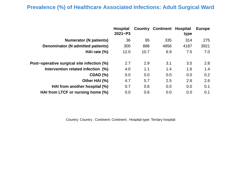## **Prevalence (%) of Healthcare Associated Infections: Adult Surgical Ward**

| <b>Numerator (N patients)</b><br>36<br>95<br>314<br>335<br>Denominator (N admitted patients)<br>888<br>4856<br>4187<br>300<br>7.5<br>HAI rate $(\%)$<br>10.7<br>6.9<br>12.0<br>2.9<br>Post-operative surgical site infection (%)<br>2.7<br>3.1<br>3.5<br>Intervention related infection (%)<br>1.1<br>1.4<br>1.6<br>4.0<br><b>CDAD (%)</b><br>0.0<br>0.0<br>0.0<br>0.0<br>Other HAI (%)<br>2.5<br>5.7<br>2.6<br>4.7<br>HAI from another hospital (%)<br>0.7<br>0.6<br>0.0<br>0.0<br>HAI from LTCF or nursing home (%)<br>0.6<br>0.0<br>0.0<br>0.0 | <b>Hospital</b><br>$2021 - P3$ | <b>Country Continent Hospital</b> | type | <b>Europe</b> |
|---------------------------------------------------------------------------------------------------------------------------------------------------------------------------------------------------------------------------------------------------------------------------------------------------------------------------------------------------------------------------------------------------------------------------------------------------------------------------------------------------------------------------------------------------|--------------------------------|-----------------------------------|------|---------------|
|                                                                                                                                                                                                                                                                                                                                                                                                                                                                                                                                                   |                                |                                   |      | 275           |
|                                                                                                                                                                                                                                                                                                                                                                                                                                                                                                                                                   |                                |                                   |      | 3921          |
|                                                                                                                                                                                                                                                                                                                                                                                                                                                                                                                                                   |                                |                                   |      | 7.0           |
|                                                                                                                                                                                                                                                                                                                                                                                                                                                                                                                                                   |                                |                                   |      | 2.8           |
|                                                                                                                                                                                                                                                                                                                                                                                                                                                                                                                                                   |                                |                                   |      | 1.4           |
|                                                                                                                                                                                                                                                                                                                                                                                                                                                                                                                                                   |                                |                                   |      | 0.2           |
|                                                                                                                                                                                                                                                                                                                                                                                                                                                                                                                                                   |                                |                                   |      | 2.6           |
|                                                                                                                                                                                                                                                                                                                                                                                                                                                                                                                                                   |                                |                                   |      | 0.1           |
|                                                                                                                                                                                                                                                                                                                                                                                                                                                                                                                                                   |                                |                                   |      | 0.1           |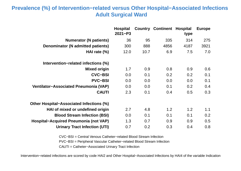## **Prevalence (%) of Intervention−related versus Other Hospital−Associated Infections Adult Surgical Ward**

|                                              | <b>Hospital</b><br>$2021 - P3$ |      | <b>Country Continent Hospital</b> | type | <b>Europe</b> |
|----------------------------------------------|--------------------------------|------|-----------------------------------|------|---------------|
| <b>Numerator (N patients)</b>                | 36                             | 95   | 335                               | 314  | 275           |
| <b>Denominator (N admitted patients)</b>     | 300                            | 888  | 4856                              | 4187 | 3921          |
| HAI rate $(\%)$                              | 12.0                           | 10.7 | 6.9                               | 7.5  | 7.0           |
| Intervention-related infections (%)          |                                |      |                                   |      |               |
| <b>Mixed origin</b>                          | 1.7                            | 0.9  | 0.8                               | 0.9  | 0.6           |
| <b>CVC-BSI</b>                               | 0.0                            | 0.1  | 0.2                               | 0.2  | 0.1           |
| <b>PVC-BSI</b>                               | 0.0                            | 0.0  | 0.0                               | 0.0  | 0.1           |
| Ventilator-Associated Pneumonia (VAP)        | 0.0                            | 0.0  | 0.1                               | 0.2  | 0.4           |
| <b>CAUTI</b>                                 | 2.3                            | 0.1  | 0.4                               | 0.5  | 0.3           |
| Other Hospital–Associated Infections (%)     |                                |      |                                   |      |               |
| HAI of mixed or undefined origin             | 2.7                            | 4.8  | 1.2                               | 1.2  | 1.1           |
| <b>Blood Stream Infection (BSI)</b>          | 0.0                            | 0.1  | 0.1                               | 0.1  | 0.2           |
| <b>Hospital-Acquired Pneumonia (not VAP)</b> | 1.3                            | 0.7  | 0.9                               | 0.9  | 0.5           |
| <b>Urinary Tract Infection (UTI)</b>         | 0.7                            | 0.2  | 0.3                               | 0.4  | 0.8           |

CVC−BSI = Central Venous Catheter−related Blood Stream Infection

PVC−BSI = Peripheral Vascular Catheter−related Blood Stream Infection

CAUTI = Catheter−Associated Urinary Tract Infection

Intervention−related infections are scored by code HAI2 and Other Hospital−Associated Infections by HAI4 of the variable Indication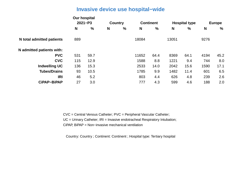#### **Invasive device use hospital−wide**

|                                  | <b>Our hospital</b> | $2021 - P3$ | <b>Continent</b><br><b>Country</b> |   |       |               | <b>Hospital type</b> |      | <b>Europe</b> |      |
|----------------------------------|---------------------|-------------|------------------------------------|---|-------|---------------|----------------------|------|---------------|------|
|                                  | N                   | %           | N                                  | % | N     | $\frac{0}{0}$ | N                    | %    | N             | %    |
| <b>N</b> total admitted patients | 889                 |             |                                    |   | 18084 |               | 13051                |      | 9276          |      |
| N admitted patients with:        |                     |             |                                    |   |       |               |                      |      |               |      |
| <b>PVC</b>                       | 531                 | 59.7        |                                    |   | 11652 | 64.4          | 8369                 | 64.1 | 4194          | 45.2 |
| <b>CVC</b>                       | 115                 | 12.9        |                                    |   | 1588  | 8.8           | 1221                 | 9.4  | 744           | 8.0  |
| <b>Indwelling UC</b>             | 136                 | 15.3        |                                    |   | 2533  | 14.0          | 2042                 | 15.6 | 1590          | 17.1 |
| <b>Tubes/Drains</b>              | 93                  | 10.5        |                                    |   | 1785  | 9.9           | 1482                 | 11.4 | 601           | 6.5  |
| <b>IRI</b>                       | 46                  | 5.2         |                                    |   | 803   | 4.4           | 626                  | 4.8  | 239           | 2.6  |
| <b>CiPAP-BiPAP</b>               | 27                  | 3.0         |                                    |   | 777   | 4.3           | 599                  | 4.6  | 188           | 2.0  |

CVC = Central Venous Catheter; PVC = Peripheral Vascular Catheter; UC = Urinary Catheter; IRI = Invasive endotracheal Respiratory Intubation; CiPAP, BiPAP = Non−invasive mechanical ventilation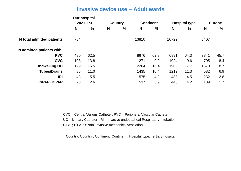#### **Invasive device use − Adult wards**

|                           | <b>Our hospital</b><br>$2021 - P3$<br><b>Continent</b><br><b>Country</b> |      |   |   |       | <b>Hospital type</b> |       | <b>Europe</b> |      |               |
|---------------------------|--------------------------------------------------------------------------|------|---|---|-------|----------------------|-------|---------------|------|---------------|
|                           | N                                                                        | %    | N | % | N     | $\frac{0}{0}$        | N     | %             | N    | $\frac{0}{0}$ |
| N total admitted patients | 784                                                                      |      |   |   | 13810 |                      | 10722 |               | 8407 |               |
| N admitted patients with: |                                                                          |      |   |   |       |                      |       |               |      |               |
| <b>PVC</b>                | 490                                                                      | 62.5 |   |   | 8676  | 62.8                 | 6891  | 64.3          | 3841 | 45.7          |
| <b>CVC</b>                | 108                                                                      | 13.8 |   |   | 1271  | 9.2                  | 1024  | 9.6           | 705  | 8.4           |
| <b>Indwelling UC</b>      | 129                                                                      | 16.5 |   |   | 2264  | 16.4                 | 1900  | 17.7          | 1570 | 18.7          |
| <b>Tubes/Drains</b>       | 86                                                                       | 11.0 |   |   | 1435  | 10.4                 | 1212  | 11.3          | 582  | 6.9           |
| <b>IRI</b>                | 43                                                                       | 5.5  |   |   | 575   | 4.2                  | 483   | 4.5           | 232  | 2.8           |
| <b>CiPAP-BiPAP</b>        | 20                                                                       | 2.6  |   |   | 537   | 3.9                  | 445   | 4.2           | 139  | 1.7           |

CVC = Central Venous Catheter; PVC = Peripheral Vascular Catheter; UC = Urinary Catheter; IRI = Invasive endotracheal Respiratory Intubation; CiPAP, BiPAP = Non−invasive mechanical ventilation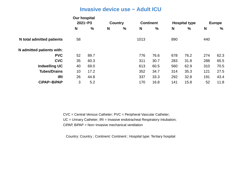#### **Invasive device use − Adult ICU**

|                           | <b>Our hospital</b> | $2021 - P3$ |   | <b>Continent</b><br><b>Country</b> |      |      |     | <b>Hospital type</b> |     | <b>Europe</b> |  |
|---------------------------|---------------------|-------------|---|------------------------------------|------|------|-----|----------------------|-----|---------------|--|
|                           | N                   | $\%$        | N | %                                  | N    | %    | N   | $\%$                 | N   | %             |  |
| N total admitted patients | 58                  |             |   |                                    | 1013 |      | 890 |                      | 440 |               |  |
| N admitted patients with: |                     |             |   |                                    |      |      |     |                      |     |               |  |
| <b>PVC</b>                | 52                  | 89.7        |   |                                    | 776  | 76.6 | 678 | 76.2                 | 274 | 62.3          |  |
| <b>CVC</b>                | 35                  | 60.3        |   |                                    | 311  | 30.7 | 283 | 31.8                 | 288 | 65.5          |  |
| <b>Indwelling UC</b>      | 40                  | 69.0        |   |                                    | 613  | 60.5 | 560 | 62.9                 | 310 | 70.5          |  |
| <b>Tubes/Drains</b>       | 10                  | 17.2        |   |                                    | 352  | 34.7 | 314 | 35.3                 | 121 | 27.5          |  |
| <b>IRI</b>                | 26                  | 44.8        |   |                                    | 337  | 33.3 | 292 | 32.8                 | 191 | 43.4          |  |
| <b>CiPAP-BiPAP</b>        | 3                   | 5.2         |   |                                    | 170  | 16.8 | 141 | 15.8                 | 52  | 11.8          |  |

CVC = Central Venous Catheter; PVC = Peripheral Vascular Catheter; UC = Urinary Catheter; IRI = Invasive endotracheal Respiratory Intubation; CiPAP, BiPAP = Non−invasive mechanical ventilation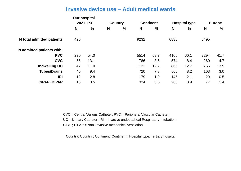#### **Invasive device use − Adult medical wards**

|                           | <b>Our hospital</b><br>$2021 - P3$<br><b>Continent</b><br><b>Country</b> |               |   |   |      | <b>Hospital type</b> |      | <b>Europe</b> |      |      |
|---------------------------|--------------------------------------------------------------------------|---------------|---|---|------|----------------------|------|---------------|------|------|
|                           | N                                                                        | $\frac{0}{0}$ | N | % | N    | %                    | N    | $\%$          | N    | %    |
| N total admitted patients | 426                                                                      |               |   |   | 9232 |                      | 6836 |               | 5495 |      |
| N admitted patients with: |                                                                          |               |   |   |      |                      |      |               |      |      |
| <b>PVC</b>                | 230                                                                      | 54.0          |   |   | 5514 | 59.7                 | 4106 | 60.1          | 2294 | 41.7 |
| <b>CVC</b>                | 56                                                                       | 13.1          |   |   | 786  | 8.5                  | 574  | 8.4           | 260  | 4.7  |
| <b>Indwelling UC</b>      | 47                                                                       | 11.0          |   |   | 1122 | 12.2                 | 866  | 12.7          | 766  | 13.9 |
| <b>Tubes/Drains</b>       | 40                                                                       | 9.4           |   |   | 720  | 7.8                  | 560  | 8.2           | 163  | 3.0  |
| <b>IRI</b>                | 12                                                                       | 2.8           |   |   | 179  | 1.9                  | 145  | 2.1           | 29   | 0.5  |
| <b>CiPAP-BiPAP</b>        | 15                                                                       | 3.5           |   |   | 324  | 3.5                  | 268  | 3.9           | 77   | 1.4  |

CVC = Central Venous Catheter; PVC = Peripheral Vascular Catheter; UC = Urinary Catheter; IRI = Invasive endotracheal Respiratory Intubation; CiPAP, BiPAP = Non−invasive mechanical ventilation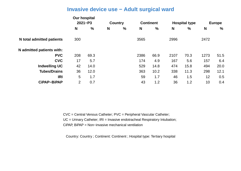#### **Invasive device use − Adult surgical ward**

|                                  | <b>Our hospital</b><br>$2021 - P3$<br><b>Continent</b><br><b>Country</b> |      |   |   |      | <b>Hospital type</b> |      | <b>Europe</b> |                 |               |
|----------------------------------|--------------------------------------------------------------------------|------|---|---|------|----------------------|------|---------------|-----------------|---------------|
|                                  | N                                                                        | $\%$ | N | % | N    | $\frac{1}{2}$        | N    | $\%$          | N               | $\frac{0}{0}$ |
| <b>N</b> total admitted patients | 300                                                                      |      |   |   | 3565 |                      | 2996 |               | 2472            |               |
| N admitted patients with:        |                                                                          |      |   |   |      |                      |      |               |                 |               |
| <b>PVC</b>                       | 208                                                                      | 69.3 |   |   | 2386 | 66.9                 | 2107 | 70.3          | 1273            | 51.5          |
| <b>CVC</b>                       | 17                                                                       | 5.7  |   |   | 174  | 4.9                  | 167  | 5.6           | 157             | 6.4           |
| <b>Indwelling UC</b>             | 42                                                                       | 14.0 |   |   | 529  | 14.8                 | 474  | 15.8          | 494             | 20.0          |
| <b>Tubes/Drains</b>              | 36                                                                       | 12.0 |   |   | 363  | 10.2                 | 338  | 11.3          | 298             | 12.1          |
| <b>IRI</b>                       | 5                                                                        | 1.7  |   |   | 59   | 1.7                  | 46   | 1.5           | 12 <sup>2</sup> | 0.5           |
| CiPAP-BiPAP                      | $\overline{2}$                                                           | 0.7  |   |   | 43   | 1.2                  | 36   | 1.2           | 10              | 0.4           |

CVC = Central Venous Catheter; PVC = Peripheral Vascular Catheter; UC = Urinary Catheter; IRI = Invasive endotracheal Respiratory Intubation; CiPAP, BiPAP = Non−invasive mechanical ventilation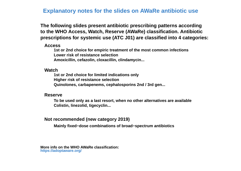**Explanatory notes for the slides on AWaRe antibiotic use**

**The following slides present antibiotic prescribing patterns according to the WHO Access, Watch, Reserve (AWaRe) classification. Antibiotic prescriptions for systemic use (ATC J01) are classified into 4 categories:**

 **Access**

**1st or 2nd choice for empiric treatment of the most common infections Lower risk of resistance selection Amoxicillin, cefazolin, cloxacillin, clindamycin...**

 **Watch**

**1st or 2nd choice for limited indications only Higher risk of resistance selection Quinolones, carbapenems, cephalosporins 2nd / 3rd gen...**

 **Reserve**

**To be used only as a last resort, when no other alternatives are available Colistin, linezolid, tigecyclin...**

 **Not recommended (new category 2019)**

**Mainly fixed−dose combinations of broad−spectrum antibiotics**

**More info on the WHO AWaRe classification: https://adoptaware.org/**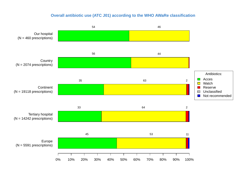#### **Overall antibiotic use (ATC J01) according to the WHO AWaRe classification**

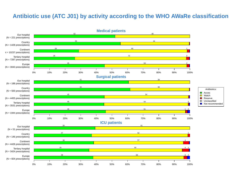## **Antibiotic use (ATC J01) by activity according to the WHO AWaRe classification**

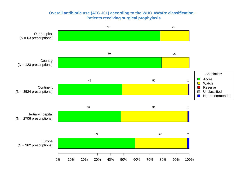#### **Overall antibiotic use (ATC J01) according to the WHO AWaRe classification − Patients receiving surgical prophylaxis**

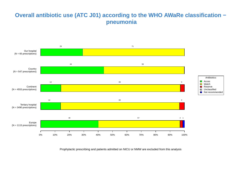## **Overall antibiotic use (ATC J01) according to the WHO AWaRe classification − pneumonia**

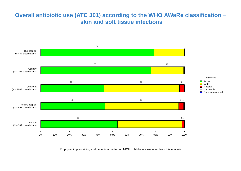## **Overall antibiotic use (ATC J01) according to the WHO AWaRe classification − skin and soft tissue infections**

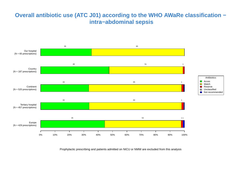## **Overall antibiotic use (ATC J01) according to the WHO AWaRe classification − intra−abdominal sepsis**

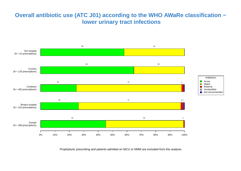## **Overall antibiotic use (ATC J01) according to the WHO AWaRe classification − lower urinary tract infections**

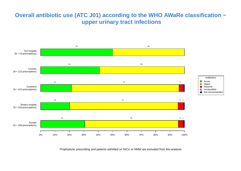## **Overall antibiotic use (ATC J01) according to the WHO AWaRe classification − upper urinary tract infections**

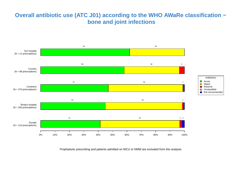## **Overall antibiotic use (ATC J01) according to the WHO AWaRe classification − bone and joint infections**